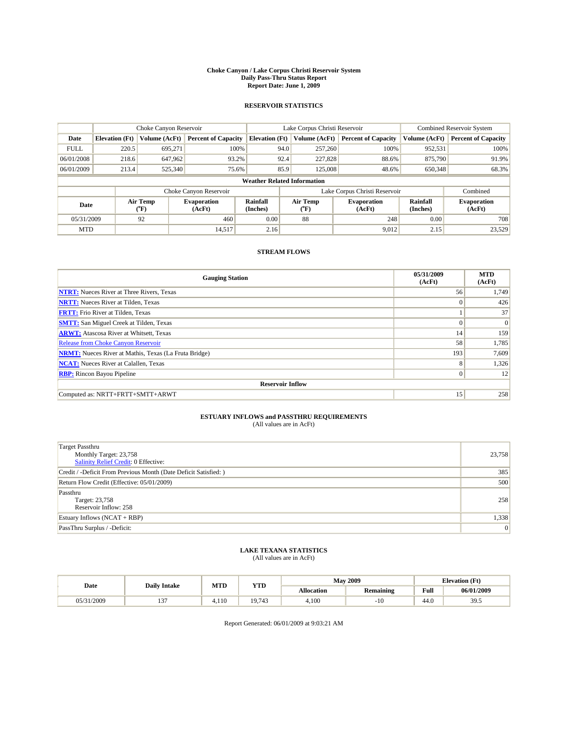#### **Choke Canyon / Lake Corpus Christi Reservoir System Daily Pass-Thru Status Report Report Date: June 1, 2009**

#### **RESERVOIR STATISTICS**

|             |                       | Choke Canyon Reservoir |                              |                       | Lake Corpus Christi Reservoir      |                               | <b>Combined Reservoir System</b> |                              |
|-------------|-----------------------|------------------------|------------------------------|-----------------------|------------------------------------|-------------------------------|----------------------------------|------------------------------|
| Date        | <b>Elevation</b> (Ft) | Volume (AcFt)          | <b>Percent of Capacity</b>   | <b>Elevation</b> (Ft) | Volume (AcFt)                      | <b>Percent of Capacity</b>    | Volume (AcFt)                    | <b>Percent of Capacity</b>   |
| <b>FULL</b> | 220.5                 | 695,271                | 100%                         |                       | 257,260<br>94.0                    | 100%                          | 952,531                          | 100%                         |
| 06/01/2008  | 218.6                 | 647,962                | 93.2%                        |                       | 92.4<br>227,828                    | 88.6%                         | 875,790                          | 91.9%                        |
| 06/01/2009  | 213.4                 | 525,340                | 75.6%                        |                       | 85.9<br>125,008                    | 48.6%                         | 650,348                          | 68.3%                        |
|             |                       |                        |                              |                       | <b>Weather Related Information</b> |                               |                                  |                              |
|             |                       |                        | Choke Canyon Reservoir       |                       |                                    | Lake Corpus Christi Reservoir |                                  | Combined                     |
| Date        |                       | Air Temp<br>(°F)       | <b>Evaporation</b><br>(AcFt) | Rainfall<br>(Inches)  | Air Temp<br>("F)                   | <b>Evaporation</b><br>(AcFt)  | Rainfall<br>(Inches)             | <b>Evaporation</b><br>(AcFt) |
| 05/31/2009  |                       | 92                     | 460                          | 0.00                  | 88                                 |                               | 248<br>0.00                      | 708                          |
| <b>MTD</b>  |                       |                        | 14,517                       | 2.16                  |                                    | 9,012                         | 2.15                             | 23,529                       |

### **STREAM FLOWS**

| <b>Gauging Station</b>                                       | 05/31/2009<br>(AcFt) | <b>MTD</b><br>(AcFt) |
|--------------------------------------------------------------|----------------------|----------------------|
| <b>NTRT:</b> Nueces River at Three Rivers, Texas             | 56                   | 1,749                |
| <b>NRTT:</b> Nueces River at Tilden, Texas                   | $\theta$             | 426                  |
| <b>FRTT:</b> Frio River at Tilden, Texas                     |                      | 37                   |
| <b>SMTT:</b> San Miguel Creek at Tilden, Texas               | $\Omega$             | $\Omega$             |
| <b>ARWT:</b> Atascosa River at Whitsett, Texas               | 14                   | 159                  |
| Release from Choke Canyon Reservoir                          | 58                   | 1,785                |
| <b>NRMT:</b> Nueces River at Mathis, Texas (La Fruta Bridge) | 193                  | 7,609                |
| <b>NCAT:</b> Nueces River at Calallen, Texas                 | 8                    | 1,326                |
| <b>RBP:</b> Rincon Bayou Pipeline                            | $\mathbf{0}$         | 12                   |
| <b>Reservoir Inflow</b>                                      |                      |                      |
| Computed as: NRTT+FRTT+SMTT+ARWT                             | 15                   | 258                  |

# **ESTUARY INFLOWS and PASSTHRU REQUIREMENTS**<br>(All values are in AcFt)

| Target Passthru<br>Monthly Target: 23,758<br>Salinity Relief Credit: 0 Effective: | 23,758 |
|-----------------------------------------------------------------------------------|--------|
| Credit / -Deficit From Previous Month (Date Deficit Satisfied: )                  | 385    |
| Return Flow Credit (Effective: 05/01/2009)                                        | 500    |
| Passthru<br>Target: 23,758<br>Reservoir Inflow: 258                               | 258    |
| Estuary Inflows $(NCAT + RBP)$                                                    | 1,338  |
| PassThru Surplus / -Deficit:                                                      | 0      |

## **LAKE TEXANA STATISTICS** (All values are in AcFt)

|            | <b>Daily Intake</b> | MTD  | <b>YTD</b> |                   | <b>May 2009</b>  | <b>Elevation</b> (Ft)                       |            |
|------------|---------------------|------|------------|-------------------|------------------|---------------------------------------------|------------|
| Date       |                     |      |            | <b>Allocation</b> | <b>Remaining</b> | Full<br>the contract of the contract of the | 06/01/2009 |
| 05/31/2009 | $\sim$<br>$\cdot$   | .110 | 19.743     | 4,100             | - 1<br>. .       | 44.0                                        | 39.5       |

Report Generated: 06/01/2009 at 9:03:21 AM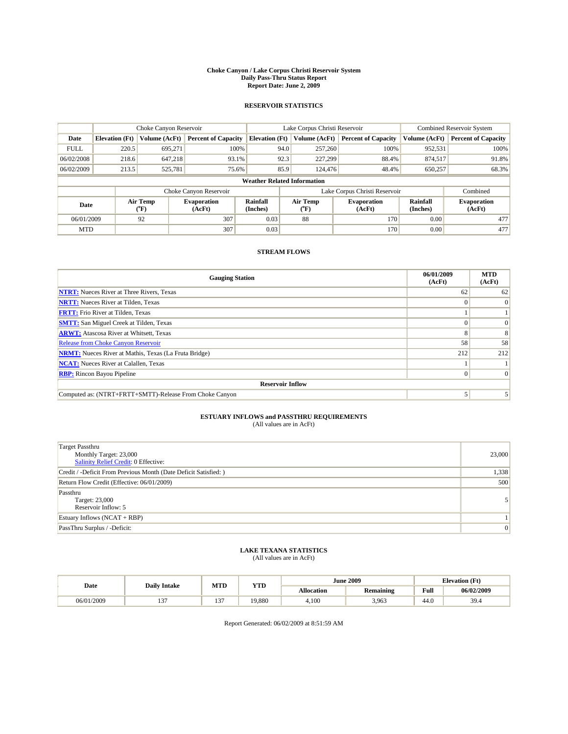#### **Choke Canyon / Lake Corpus Christi Reservoir System Daily Pass-Thru Status Report Report Date: June 2, 2009**

#### **RESERVOIR STATISTICS**

|             |                       | Choke Canyon Reservoir |                              |                                    | Lake Corpus Christi Reservoir | Combined Reservoir System     |                      |                              |
|-------------|-----------------------|------------------------|------------------------------|------------------------------------|-------------------------------|-------------------------------|----------------------|------------------------------|
| Date        | <b>Elevation</b> (Ft) | Volume (AcFt)          | <b>Percent of Capacity</b>   | <b>Elevation</b> (Ft)              | Volume (AcFt)                 | <b>Percent of Capacity</b>    | Volume (AcFt)        | <b>Percent of Capacity</b>   |
| <b>FULL</b> | 220.5                 | 695,271                | 100%                         | 94.0                               | 257,260                       | 100%                          | 952,531              | 100%                         |
| 06/02/2008  | 218.6                 | 647,218                | 93.1%                        | 92.3                               | 227,299                       | 88.4%                         | 874,517              | 91.8%                        |
| 06/02/2009  | 213.5                 | 525,781                | 75.6%                        | 85.9                               | 124,476                       | 48.4%                         | 650,257              | 68.3%                        |
|             |                       |                        |                              | <b>Weather Related Information</b> |                               |                               |                      |                              |
|             |                       |                        | Choke Canyon Reservoir       |                                    |                               | Lake Corpus Christi Reservoir |                      | Combined                     |
| Date        |                       | Air Temp<br>(°F)       | <b>Evaporation</b><br>(AcFt) | Rainfall<br>(Inches)               | Air Temp<br>(°F)              | <b>Evaporation</b><br>(AcFt)  | Rainfall<br>(Inches) | <b>Evaporation</b><br>(AcFt) |
| 06/01/2009  |                       | 92                     | 307                          | 0.03                               | 88                            | 170                           | 0.00                 | 477                          |
| <b>MTD</b>  |                       |                        | 307                          | 0.03                               |                               | 170                           | 0.00                 | 477                          |

### **STREAM FLOWS**

| <b>Gauging Station</b>                                       | 06/01/2009<br>(AcFt) | <b>MTD</b><br>(AcFt) |
|--------------------------------------------------------------|----------------------|----------------------|
| <b>NTRT:</b> Nueces River at Three Rivers, Texas             | 62                   | 62                   |
| <b>NRTT:</b> Nueces River at Tilden, Texas                   |                      | $\Omega$             |
| <b>FRTT:</b> Frio River at Tilden, Texas                     |                      |                      |
| <b>SMTT:</b> San Miguel Creek at Tilden, Texas               |                      | $\Omega$             |
| <b>ARWT:</b> Atascosa River at Whitsett, Texas               |                      | 8                    |
| Release from Choke Canyon Reservoir                          | 58                   | 58                   |
| <b>NRMT:</b> Nueces River at Mathis, Texas (La Fruta Bridge) | 212                  | 212                  |
| <b>NCAT:</b> Nueces River at Calallen, Texas                 |                      |                      |
| <b>RBP:</b> Rincon Bayou Pipeline                            | $\Omega$             | $\Omega$             |
| <b>Reservoir Inflow</b>                                      |                      |                      |
| Computed as: (NTRT+FRTT+SMTT)-Release From Choke Canyon      |                      |                      |

## **ESTUARY INFLOWS and PASSTHRU REQUIREMENTS**

| (All values are in AcFt) |  |  |
|--------------------------|--|--|
|--------------------------|--|--|

| Target Passthru<br>Monthly Target: 23,000<br>Salinity Relief Credit: 0 Effective: | 23,000 |
|-----------------------------------------------------------------------------------|--------|
| Credit / -Deficit From Previous Month (Date Deficit Satisfied: )                  | 1,338  |
| Return Flow Credit (Effective: 06/01/2009)                                        | 500    |
| Passthru<br>Target: 23,000<br>Reservoir Inflow: 5                                 | 51     |
| Estuary Inflows (NCAT + RBP)                                                      |        |
| PassThru Surplus / -Deficit:                                                      | 0      |

## **LAKE TEXANA STATISTICS** (All values are in AcFt)

| Date           | <b>Daily Intake</b> | MTD        | <b>YTD</b> |                   | <b>June 2009</b> | <b>Elevation</b> (Ft) |            |
|----------------|---------------------|------------|------------|-------------------|------------------|-----------------------|------------|
|                |                     |            |            | <b>Allocation</b> | <b>Remaining</b> | Full                  | 06/02/2009 |
| /2009<br>06/01 | $\sim$<br>. .       | $\sim$<br> | 19,880     | 4.100             | 3,963            | 44.0                  | 39.4       |

Report Generated: 06/02/2009 at 8:51:59 AM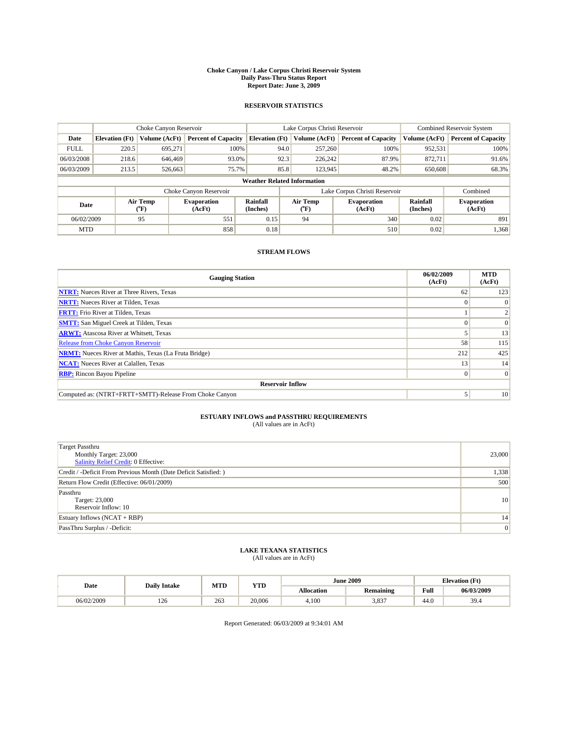#### **Choke Canyon / Lake Corpus Christi Reservoir System Daily Pass-Thru Status Report Report Date: June 3, 2009**

#### **RESERVOIR STATISTICS**

|             |                       | Choke Canyon Reservoir |                              |                                    | Lake Corpus Christi Reservoir | Combined Reservoir System     |                      |                              |
|-------------|-----------------------|------------------------|------------------------------|------------------------------------|-------------------------------|-------------------------------|----------------------|------------------------------|
| Date        | <b>Elevation</b> (Ft) | Volume (AcFt)          | <b>Percent of Capacity</b>   | <b>Elevation</b> (Ft)              | Volume (AcFt)                 | <b>Percent of Capacity</b>    | Volume (AcFt)        | <b>Percent of Capacity</b>   |
| <b>FULL</b> | 220.5                 | 695,271                | 100%                         | 94.0                               | 257,260                       | 100%                          | 952,531              | 100%                         |
| 06/03/2008  | 218.6                 | 646,469                | 93.0%                        | 92.3                               | 226,242                       | 87.9%                         | 872,711              | 91.6%                        |
| 06/03/2009  | 213.5                 | 526,663                | 75.7%                        | 85.8                               | 123,945                       | 48.2%                         | 650,608              | 68.3%                        |
|             |                       |                        |                              | <b>Weather Related Information</b> |                               |                               |                      |                              |
|             |                       |                        | Choke Canyon Reservoir       |                                    |                               | Lake Corpus Christi Reservoir |                      | Combined                     |
| Date        |                       | Air Temp<br>(°F)       | <b>Evaporation</b><br>(AcFt) | Rainfall<br>(Inches)               | Air Temp<br>(°F)              | <b>Evaporation</b><br>(AcFt)  | Rainfall<br>(Inches) | <b>Evaporation</b><br>(AcFt) |
| 06/02/2009  |                       | 95                     | 551                          | 0.15                               | 94                            | 340                           | 0.02                 | 891                          |
| <b>MTD</b>  |                       |                        | 858                          | 0.18                               |                               | 510                           | 0.02                 | 1,368                        |

### **STREAM FLOWS**

| <b>Gauging Station</b>                                       | 06/02/2009<br>(AcFt) | <b>MTD</b><br>(AcFt) |
|--------------------------------------------------------------|----------------------|----------------------|
| <b>NTRT:</b> Nueces River at Three Rivers, Texas             | 62                   | 123                  |
| <b>NRTT:</b> Nueces River at Tilden, Texas                   | $\Omega$             | $\Omega$             |
| <b>FRTT:</b> Frio River at Tilden, Texas                     |                      |                      |
| <b>SMTT:</b> San Miguel Creek at Tilden, Texas               |                      | $\Omega$             |
| <b>ARWT:</b> Atascosa River at Whitsett, Texas               |                      | 13                   |
| Release from Choke Canyon Reservoir                          | 58                   | 115                  |
| <b>NRMT:</b> Nueces River at Mathis, Texas (La Fruta Bridge) | 212                  | 425                  |
| <b>NCAT:</b> Nueces River at Calallen, Texas                 | 13                   | 14                   |
| <b>RBP:</b> Rincon Bayou Pipeline                            | $\Omega$             | $\Omega$             |
| <b>Reservoir Inflow</b>                                      |                      |                      |
| Computed as: (NTRT+FRTT+SMTT)-Release From Choke Canyon      |                      | 10                   |

## **ESTUARY INFLOWS and PASSTHRU REQUIREMENTS**

|  | (All values are in AcFt) |  |
|--|--------------------------|--|
|--|--------------------------|--|

| Target Passthru<br>Monthly Target: 23,000<br><b>Salinity Relief Credit: 0 Effective:</b> | 23,000          |
|------------------------------------------------------------------------------------------|-----------------|
| Credit / -Deficit From Previous Month (Date Deficit Satisfied: )                         | 1,338           |
| Return Flow Credit (Effective: 06/01/2009)                                               | 500             |
| Passthru<br>Target: 23,000<br>Reservoir Inflow: 10                                       | 10 <sup>1</sup> |
| Estuary Inflows $(NCAT + RBP)$                                                           | 14              |
| PassThru Surplus / -Deficit:                                                             | 0               |

## **LAKE TEXANA STATISTICS** (All values are in AcFt)

|            | <b>Daily Intake</b> | MTD | <b>YTD</b> |                   | <b>June 2009</b> |      | <b>Elevation</b> (Ft) |
|------------|---------------------|-----|------------|-------------------|------------------|------|-----------------------|
| Date       |                     |     |            | <b>Allocation</b> | <b>Remaining</b> | Full | 06/03/2009            |
| 06/02/2009 | 126                 | 263 | 20,006     | 4.100             | 3,837            | 44.0 | 39.4                  |

Report Generated: 06/03/2009 at 9:34:01 AM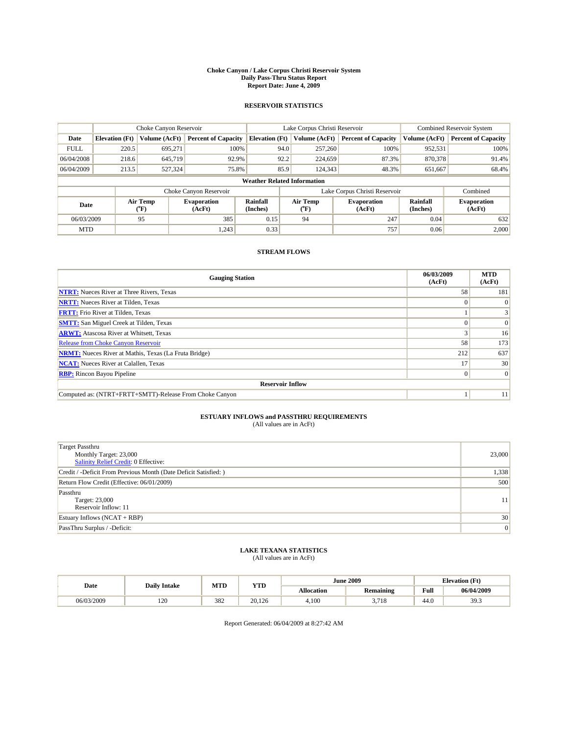#### **Choke Canyon / Lake Corpus Christi Reservoir System Daily Pass-Thru Status Report Report Date: June 4, 2009**

#### **RESERVOIR STATISTICS**

|             | Choke Canyon Reservoir |                  |                              |                                    | Lake Corpus Christi Reservoir | <b>Combined Reservoir System</b> |                      |                              |
|-------------|------------------------|------------------|------------------------------|------------------------------------|-------------------------------|----------------------------------|----------------------|------------------------------|
| Date        | <b>Elevation</b> (Ft)  | Volume (AcFt)    | <b>Percent of Capacity</b>   | <b>Elevation</b> (Ft)              | Volume (AcFt)                 | <b>Percent of Capacity</b>       | Volume (AcFt)        | <b>Percent of Capacity</b>   |
| <b>FULL</b> | 220.5                  | 695,271          | 100%                         | 94.0                               | 257,260                       | 100%                             | 952,531              | 100%                         |
| 06/04/2008  | 218.6                  | 645,719          | 92.9%                        | 92.2                               | 224,659                       | 87.3%                            | 870,378              | 91.4%                        |
| 06/04/2009  | 213.5                  | 527,324          | 75.8%                        | 85.9                               | 124,343                       | 48.3%                            | 651,667              | 68.4%                        |
|             |                        |                  |                              | <b>Weather Related Information</b> |                               |                                  |                      |                              |
|             |                        |                  | Choke Canyon Reservoir       |                                    | Lake Corpus Christi Reservoir | Combined                         |                      |                              |
| Date        |                        | Air Temp<br>(°F) | <b>Evaporation</b><br>(AcFt) | Rainfall<br>(Inches)               | Air Temp<br>(°F)              | <b>Evaporation</b><br>(AcFt)     | Rainfall<br>(Inches) | <b>Evaporation</b><br>(AcFt) |
| 06/03/2009  |                        | 95               | 385                          | 0.15                               | 94                            | 247                              | 0.04                 | 632                          |
| <b>MTD</b>  |                        |                  | 1,243                        | 0.33                               |                               | 757                              | 0.06                 | 2.000                        |

### **STREAM FLOWS**

| <b>Gauging Station</b>                                       | 06/03/2009<br>(AcFt) | <b>MTD</b><br>(AcFt) |  |  |  |  |
|--------------------------------------------------------------|----------------------|----------------------|--|--|--|--|
| <b>NTRT:</b> Nueces River at Three Rivers, Texas             | 58                   | 181                  |  |  |  |  |
| <b>NRTT:</b> Nueces River at Tilden, Texas                   | $\Omega$             |                      |  |  |  |  |
| <b>FRTT:</b> Frio River at Tilden, Texas                     |                      |                      |  |  |  |  |
| <b>SMTT:</b> San Miguel Creek at Tilden, Texas               |                      | $\Omega$             |  |  |  |  |
| <b>ARWT:</b> Atascosa River at Whitsett, Texas               |                      | 16                   |  |  |  |  |
| Release from Choke Canyon Reservoir                          | 58                   | 173                  |  |  |  |  |
| <b>NRMT:</b> Nueces River at Mathis, Texas (La Fruta Bridge) | 212                  | 637                  |  |  |  |  |
| <b>NCAT:</b> Nueces River at Calallen, Texas                 | 17                   | 30                   |  |  |  |  |
| <b>RBP:</b> Rincon Bayou Pipeline                            | $\Omega$             | $\Omega$             |  |  |  |  |
| <b>Reservoir Inflow</b>                                      |                      |                      |  |  |  |  |
| Computed as: (NTRT+FRTT+SMTT)-Release From Choke Canyon      |                      | 11                   |  |  |  |  |

## **ESTUARY INFLOWS and PASSTHRU REQUIREMENTS**

| (All values are in AcFt) |  |  |
|--------------------------|--|--|
|--------------------------|--|--|

| <b>Target Passthru</b><br>Monthly Target: 23,000<br>Salinity Relief Credit: 0 Effective: | 23,000 |
|------------------------------------------------------------------------------------------|--------|
| Credit / -Deficit From Previous Month (Date Deficit Satisfied: )                         | 1,338  |
| Return Flow Credit (Effective: 06/01/2009)                                               | 500    |
| Passthru<br>Target: 23,000<br>Reservoir Inflow: 11                                       | 11     |
| Estuary Inflows $(NCAT + RBP)$                                                           | 30     |
| PassThru Surplus / -Deficit:                                                             | 0      |

## **LAKE TEXANA STATISTICS** (All values are in AcFt)

|            | <b>Daily Intake</b> | MTD | <b>YTD</b> |                   | <b>June 2009</b>    | <b>Elevation</b> (Ft) |                           |
|------------|---------------------|-----|------------|-------------------|---------------------|-----------------------|---------------------------|
| Date       |                     |     |            | <b>Allocation</b> | <b>Remaining</b>    | Full                  | 06/04/2009                |
| 06/03/2009 | 100<br>14 U         | 382 | 20.126     | 4.100             | 2.71<br>, , .<br>J. | 44.0                  | 30 <sup>2</sup><br>ر. ر ر |

Report Generated: 06/04/2009 at 8:27:42 AM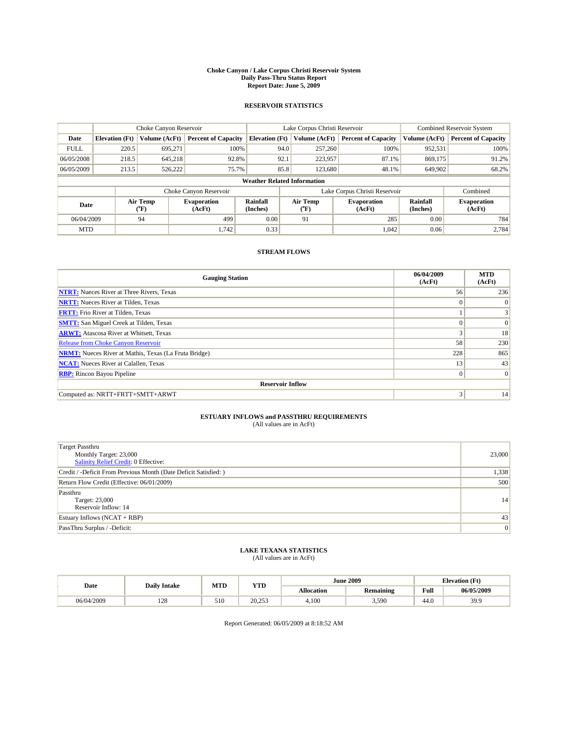#### **Choke Canyon / Lake Corpus Christi Reservoir System Daily Pass-Thru Status Report Report Date: June 5, 2009**

#### **RESERVOIR STATISTICS**

|             | Choke Canyon Reservoir |                                    |                              |                                    | Lake Corpus Christi Reservoir |                  |                              |                             | <b>Combined Reservoir System</b> |  |
|-------------|------------------------|------------------------------------|------------------------------|------------------------------------|-------------------------------|------------------|------------------------------|-----------------------------|----------------------------------|--|
| Date        | <b>Elevation</b> (Ft)  | Volume (AcFt)                      | <b>Percent of Capacity</b>   | <b>Elevation (Ft)</b>              |                               | Volume (AcFt)    | <b>Percent of Capacity</b>   | Volume (AcFt)               | <b>Percent of Capacity</b>       |  |
| <b>FULL</b> | 220.5                  | 695,271                            | 100%                         |                                    | 94.0                          | 257,260          | 100%                         | 952,531                     | 100%                             |  |
| 06/05/2008  | 218.5                  | 645,218                            | 92.8%                        |                                    | 92.1                          | 223,957          | 87.1%                        | 869,175                     | 91.2%                            |  |
| 06/05/2009  | 213.5                  | 526,222                            | 75.7%                        |                                    | 85.8                          | 123,680          | 48.1%                        | 649,902                     | 68.2%                            |  |
|             |                        |                                    |                              | <b>Weather Related Information</b> |                               |                  |                              |                             |                                  |  |
|             |                        |                                    | Choke Canyon Reservoir       |                                    | Lake Corpus Christi Reservoir |                  |                              |                             | Combined                         |  |
| Date        |                        | Air Temp<br>${}^{\prime\prime}$ F) | <b>Evaporation</b><br>(AcFt) | Rainfall<br>(Inches)               |                               | Air Temp<br>(°F) | <b>Evaporation</b><br>(AcFt) | <b>Rainfall</b><br>(Inches) | <b>Evaporation</b><br>(AcFt)     |  |
| 06/04/2009  |                        | 94                                 | 499                          | 0.00                               |                               | 91               | 285                          | 0.00                        | 784                              |  |
| <b>MTD</b>  |                        |                                    | 1,742                        | 0.33                               |                               |                  | 1,042                        | 0.06                        | 2,784                            |  |

### **STREAM FLOWS**

| <b>Gauging Station</b>                                       | 06/04/2009<br>(AcFt) | <b>MTD</b><br>(AcFt) |  |  |  |  |
|--------------------------------------------------------------|----------------------|----------------------|--|--|--|--|
| <b>NTRT:</b> Nueces River at Three Rivers, Texas             | 56                   | 236                  |  |  |  |  |
| <b>NRTT:</b> Nueces River at Tilden, Texas                   | $\Omega$             | $\Omega$             |  |  |  |  |
| <b>FRTT:</b> Frio River at Tilden, Texas                     |                      | 3                    |  |  |  |  |
| <b>SMTT:</b> San Miguel Creek at Tilden, Texas               | $\theta$             | $\vert 0 \vert$      |  |  |  |  |
| <b>ARWT:</b> Atascosa River at Whitsett, Texas               | 3                    | 18                   |  |  |  |  |
| <b>Release from Choke Canyon Reservoir</b>                   | 58                   | 230                  |  |  |  |  |
| <b>NRMT:</b> Nueces River at Mathis, Texas (La Fruta Bridge) | 228                  | 865                  |  |  |  |  |
| <b>NCAT:</b> Nueces River at Calallen, Texas                 | 13                   | 43                   |  |  |  |  |
| <b>RBP:</b> Rincon Bayou Pipeline                            | $\mathbf{0}$         | $\Omega$             |  |  |  |  |
| <b>Reservoir Inflow</b>                                      |                      |                      |  |  |  |  |
| Computed as: NRTT+FRTT+SMTT+ARWT                             | 3                    | 14                   |  |  |  |  |

# **ESTUARY INFLOWS and PASSTHRU REQUIREMENTS**<br>(All values are in AcFt)

| <b>Target Passthru</b><br>Monthly Target: 23,000<br>Salinity Relief Credit: 0 Effective: | 23,000 |
|------------------------------------------------------------------------------------------|--------|
| Credit / -Deficit From Previous Month (Date Deficit Satisfied: )                         | 1,338  |
| Return Flow Credit (Effective: 06/01/2009)                                               | 500    |
| Passthru<br>Target: 23,000<br>Reservoir Inflow: 14                                       | 14     |
| Estuary Inflows $(NCAT + RBP)$                                                           | 43     |
| PassThru Surplus / -Deficit:                                                             | 0      |

## **LAKE TEXANA STATISTICS** (All values are in AcFt)

|            | <b>Daily Intake</b> | MTD | <b>YTD</b> |                   | <b>June 2009</b> | <b>Elevation</b> (Ft)                       |            |
|------------|---------------------|-----|------------|-------------------|------------------|---------------------------------------------|------------|
| Date       |                     |     |            | <b>Allocation</b> | <b>Remaining</b> | Full<br>the contract of the contract of the | 06/05/2009 |
| 06/04/2009 | 100<br>140          | 510 | 20.253     | 4.100             | 3,590            | 44.0                                        | 39.9       |

Report Generated: 06/05/2009 at 8:18:52 AM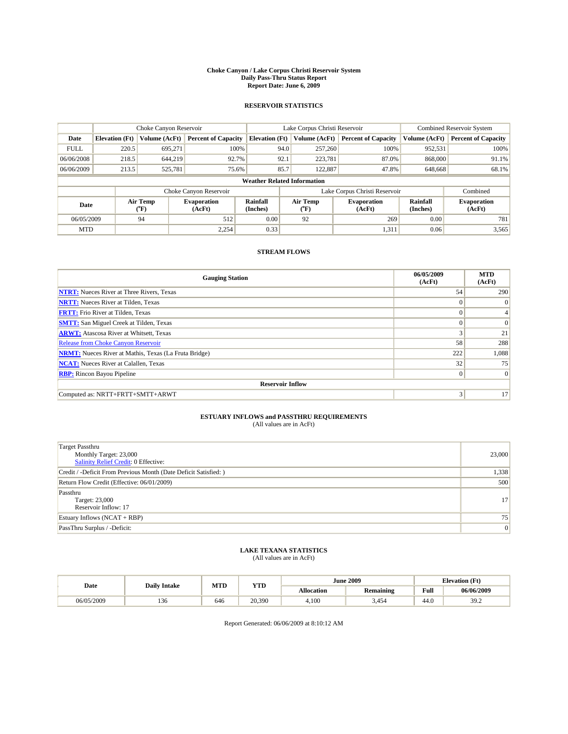#### **Choke Canyon / Lake Corpus Christi Reservoir System Daily Pass-Thru Status Report Report Date: June 6, 2009**

#### **RESERVOIR STATISTICS**

|             |                       |                  | Lake Corpus Christi Reservoir |                                    |                               |         | <b>Combined Reservoir System</b> |                      |                              |
|-------------|-----------------------|------------------|-------------------------------|------------------------------------|-------------------------------|---------|----------------------------------|----------------------|------------------------------|
| Date        | <b>Elevation</b> (Ft) | Volume (AcFt)    | <b>Percent of Capacity</b>    | <b>Elevation (Ft)</b>              | Volume (AcFt)                 |         | <b>Percent of Capacity</b>       | Volume (AcFt)        | <b>Percent of Capacity</b>   |
| <b>FULL</b> | 220.5                 | 695,271          | 100%                          |                                    | 94.0                          | 257,260 | 100%                             | 952,531              | 100%                         |
| 06/06/2008  | 218.5                 | 644,219          | 92.7%                         |                                    | 92.1                          | 223,781 | 87.0%                            | 868,000              | 91.1%                        |
| 06/06/2009  | 213.5                 | 525,781          | 75.6%                         |                                    | 85.7                          | 122,887 | 47.8%                            | 648,668              | 68.1%                        |
|             |                       |                  |                               | <b>Weather Related Information</b> |                               |         |                                  |                      |                              |
|             |                       |                  | Choke Canyon Reservoir        |                                    | Lake Corpus Christi Reservoir |         |                                  | Combined             |                              |
| Date        |                       | Air Temp<br>(°F) | <b>Evaporation</b><br>(AcFt)  | Rainfall<br>(Inches)               | Air Temp<br>(°F)              |         | <b>Evaporation</b><br>(AcFt)     | Rainfall<br>(Inches) | <b>Evaporation</b><br>(AcFt) |
| 06/05/2009  |                       | 94               | 512                           | 0.00                               | 92                            |         | 269                              | 0.00                 | 781                          |
| <b>MTD</b>  |                       |                  | 2.254                         | 0.33                               |                               |         | 1,311                            | 0.06                 | 3,565                        |

### **STREAM FLOWS**

| <b>Gauging Station</b>                                       | 06/05/2009<br>(AcFt) | <b>MTD</b><br>(AcFt) |  |  |  |  |  |
|--------------------------------------------------------------|----------------------|----------------------|--|--|--|--|--|
| <b>NTRT:</b> Nueces River at Three Rivers, Texas             | 54                   | 290                  |  |  |  |  |  |
| <b>NRTT:</b> Nueces River at Tilden, Texas                   | $\Omega$             | $\Omega$             |  |  |  |  |  |
| <b>FRTT:</b> Frio River at Tilden, Texas                     | $\Omega$             |                      |  |  |  |  |  |
| <b>SMTT:</b> San Miguel Creek at Tilden, Texas               | $\theta$             | $\Omega$             |  |  |  |  |  |
| <b>ARWT:</b> Atascosa River at Whitsett, Texas               | 3                    | 21                   |  |  |  |  |  |
| <b>Release from Choke Canyon Reservoir</b>                   | 58                   | 288                  |  |  |  |  |  |
| <b>NRMT:</b> Nueces River at Mathis, Texas (La Fruta Bridge) | 222                  | 1,088                |  |  |  |  |  |
| <b>NCAT:</b> Nueces River at Calallen, Texas                 | 32                   | 75                   |  |  |  |  |  |
| <b>RBP:</b> Rincon Bayou Pipeline                            | $\mathbf{0}$         | $\Omega$             |  |  |  |  |  |
| <b>Reservoir Inflow</b>                                      |                      |                      |  |  |  |  |  |
| Computed as: NRTT+FRTT+SMTT+ARWT                             | 3                    | 17                   |  |  |  |  |  |

# **ESTUARY INFLOWS and PASSTHRU REQUIREMENTS**<br>(All values are in AcFt)

| <b>Target Passthru</b><br>Monthly Target: 23,000<br>Salinity Relief Credit: 0 Effective: | 23,000 |
|------------------------------------------------------------------------------------------|--------|
| Credit / -Deficit From Previous Month (Date Deficit Satisfied: )                         | 1,338  |
| Return Flow Credit (Effective: 06/01/2009)                                               | 500    |
| Passthru<br>Target: 23,000<br>Reservoir Inflow: 17                                       | 17     |
| Estuary Inflows $(NCAT + RBP)$                                                           | 75     |
| PassThru Surplus / -Deficit:                                                             | 0      |

## **LAKE TEXANA STATISTICS** (All values are in AcFt)

|            | <b>Daily Intake</b> | MTD | <b>YTD</b> |                   | <b>June 2009</b> | <b>Elevation</b> (Ft) |                 |
|------------|---------------------|-----|------------|-------------------|------------------|-----------------------|-----------------|
| Date       |                     |     |            | <b>Allocation</b> | <b>Remaining</b> | Full                  | 06/06/2009      |
| 06/05/2009 | 150                 | 646 | 20,390     | 4.100             | 454.د            | 44.0                  | 30 $2$<br>J . L |

Report Generated: 06/06/2009 at 8:10:12 AM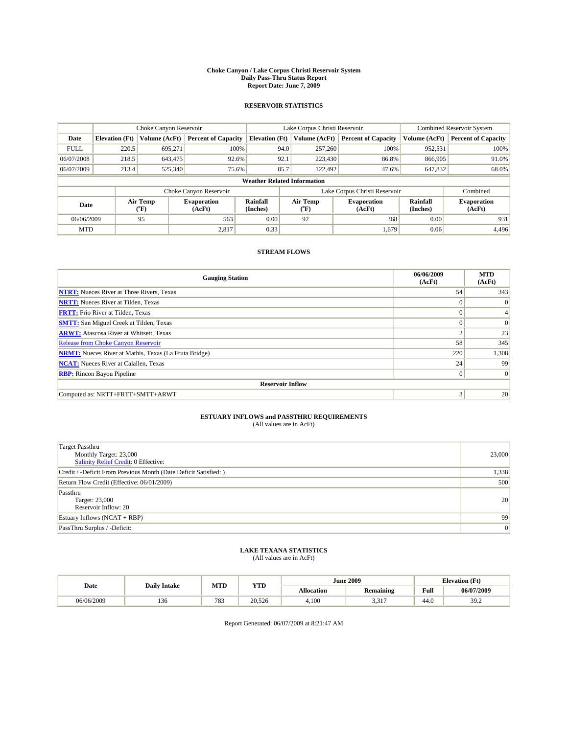#### **Choke Canyon / Lake Corpus Christi Reservoir System Daily Pass-Thru Status Report Report Date: June 7, 2009**

#### **RESERVOIR STATISTICS**

|             |                       | Choke Canyon Reservoir |                              |                                    | Lake Corpus Christi Reservoir | <b>Combined Reservoir System</b> |                             |                              |
|-------------|-----------------------|------------------------|------------------------------|------------------------------------|-------------------------------|----------------------------------|-----------------------------|------------------------------|
| Date        | <b>Elevation</b> (Ft) | Volume (AcFt)          | <b>Percent of Capacity</b>   | <b>Elevation</b> (Ft)              | Volume (AcFt)                 | <b>Percent of Capacity</b>       | Volume (AcFt)               | <b>Percent of Capacity</b>   |
| <b>FULL</b> | 220.5                 | 695,271                | 100%                         | 94.0                               | 257,260                       | 100%                             | 952,531                     | 100%                         |
| 06/07/2008  | 218.5                 | 643,475                | 92.6%                        | 92.1                               | 223,430                       | 86.8%                            | 866,905                     | 91.0%                        |
| 06/07/2009  | 213.4                 | 525,340                | 75.6%                        | 85.7                               | 122.492                       | 47.6%                            | 647,832                     | 68.0%                        |
|             |                       |                        |                              | <b>Weather Related Information</b> |                               |                                  |                             |                              |
|             |                       |                        | Choke Canyon Reservoir       |                                    | Lake Corpus Christi Reservoir |                                  | Combined                    |                              |
| Date        |                       | Air Temp<br>(°F)       | <b>Evaporation</b><br>(AcFt) | Rainfall<br>(Inches)               | Air Temp<br>(°F)              | <b>Evaporation</b><br>(AcFt)     | <b>Rainfall</b><br>(Inches) | <b>Evaporation</b><br>(AcFt) |
| 06/06/2009  |                       | 95                     | 563                          | 0.00                               | 92                            | 368                              | 0.00                        | 931                          |
| <b>MTD</b>  |                       |                        | 2,817                        | 0.33                               |                               | 1,679                            | 0.06                        | 4.496                        |

### **STREAM FLOWS**

| <b>Gauging Station</b>                                       | 06/06/2009<br>(AcFt) | <b>MTD</b><br>(AcFt) |  |  |  |  |  |
|--------------------------------------------------------------|----------------------|----------------------|--|--|--|--|--|
| <b>NTRT:</b> Nueces River at Three Rivers, Texas             | 54                   | 343                  |  |  |  |  |  |
| <b>NRTT:</b> Nueces River at Tilden, Texas                   | $\Omega$             | $\theta$             |  |  |  |  |  |
| <b>FRTT:</b> Frio River at Tilden, Texas                     | $\Omega$             |                      |  |  |  |  |  |
| <b>SMTT:</b> San Miguel Creek at Tilden, Texas               | $\Omega$             | $\Omega$             |  |  |  |  |  |
| <b>ARWT:</b> Atascosa River at Whitsett, Texas               | $\sim$               | 23                   |  |  |  |  |  |
| Release from Choke Canyon Reservoir                          | 58                   | 345                  |  |  |  |  |  |
| <b>NRMT:</b> Nueces River at Mathis, Texas (La Fruta Bridge) | 220                  | 1,308                |  |  |  |  |  |
| <b>NCAT:</b> Nueces River at Calallen, Texas                 | 24                   | 99                   |  |  |  |  |  |
| <b>RBP:</b> Rincon Bayou Pipeline                            | $\overline{0}$       | $\Omega$             |  |  |  |  |  |
| <b>Reservoir Inflow</b>                                      |                      |                      |  |  |  |  |  |
| Computed as: NRTT+FRTT+SMTT+ARWT                             | 3                    | 20                   |  |  |  |  |  |

# **ESTUARY INFLOWS and PASSTHRU REQUIREMENTS**<br>(All values are in AcFt)

| Target Passthru<br>Monthly Target: 23,000<br>Salinity Relief Credit: 0 Effective: | 23,000 |
|-----------------------------------------------------------------------------------|--------|
| Credit / -Deficit From Previous Month (Date Deficit Satisfied: )                  | 1,338  |
| Return Flow Credit (Effective: 06/01/2009)                                        | 500    |
| Passthru<br>Target: 23,000<br>Reservoir Inflow: 20                                | 20     |
| Estuary Inflows $(NCAT + RBP)$                                                    | 99     |
| PassThru Surplus / -Deficit:                                                      | 0      |

## **LAKE TEXANA STATISTICS** (All values are in AcFt)

|            | <b>Daily Intake</b> | MTD | <b>YTD</b> |                   | <b>June 2009</b> |      | <b>Elevation</b> (Ft) |  |
|------------|---------------------|-----|------------|-------------------|------------------|------|-----------------------|--|
| Date       |                     |     |            | <b>Allocation</b> | <b>Remaining</b> | Full | 06/07/2009            |  |
| 06/06/2009 | 150                 | 783 | 20,526     | 4.100             | 2.217<br>، د ب   | 44.0 | 30 $2$<br>J . L       |  |

Report Generated: 06/07/2009 at 8:21:47 AM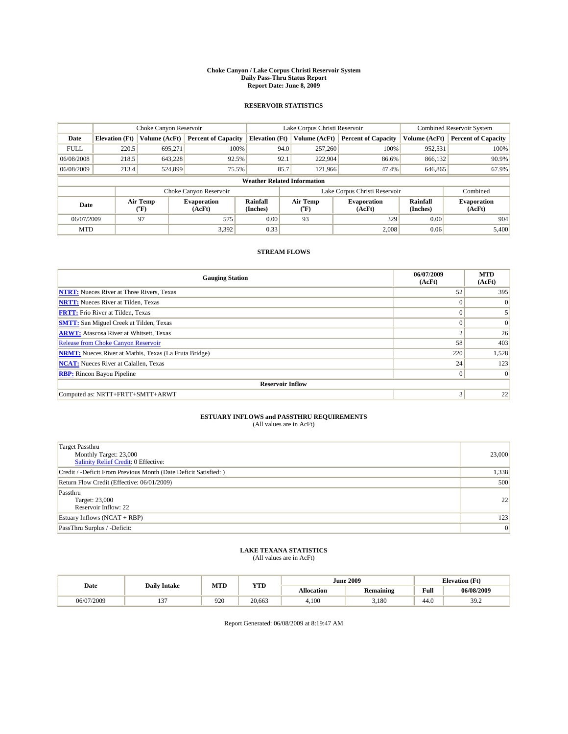#### **Choke Canyon / Lake Corpus Christi Reservoir System Daily Pass-Thru Status Report Report Date: June 8, 2009**

#### **RESERVOIR STATISTICS**

|             | Choke Canyon Reservoir                                                                                                                             |               | Lake Corpus Christi Reservoir |                                    |                               |               | Combined Reservoir System  |               |                            |
|-------------|----------------------------------------------------------------------------------------------------------------------------------------------------|---------------|-------------------------------|------------------------------------|-------------------------------|---------------|----------------------------|---------------|----------------------------|
| Date        | <b>Elevation</b> (Ft)                                                                                                                              | Volume (AcFt) | <b>Percent of Capacity</b>    | <b>Elevation (Ft)</b>              |                               | Volume (AcFt) | <b>Percent of Capacity</b> | Volume (AcFt) | <b>Percent of Capacity</b> |
| <b>FULL</b> | 220.5                                                                                                                                              | 695,271       | 100%                          |                                    | 94.0                          | 257,260       | 100%                       | 952,531       | 100%                       |
| 06/08/2008  | 218.5                                                                                                                                              | 643,228       | 92.5%                         |                                    | 92.1                          | 222,904       | 86.6%                      | 866,132       | 90.9%                      |
| 06/08/2009  | 213.4                                                                                                                                              | 524,899       | 75.5%                         |                                    | 85.7                          | 121.966       | 47.4%                      | 646,865       | 67.9%                      |
|             |                                                                                                                                                    |               |                               | <b>Weather Related Information</b> |                               |               |                            |               |                            |
|             |                                                                                                                                                    |               | Choke Canyon Reservoir        |                                    | Lake Corpus Christi Reservoir |               |                            | Combined      |                            |
|             | Air Temp<br>Rainfall<br>Air Temp<br><b>Evaporation</b><br><b>Evaporation</b><br>Date<br>(Inches)<br>${}^{\circ}$ F)<br>(AcFt)<br>$(^oF)$<br>(AcFt) |               |                               | <b>Rainfall</b><br>(Inches)        | <b>Evaporation</b><br>(AcFt)  |               |                            |               |                            |
| 06/07/2009  |                                                                                                                                                    | 97            | 575                           | 0.00                               |                               | 93            | 329                        | 0.00          | 904                        |
| <b>MTD</b>  |                                                                                                                                                    |               | 3,392                         | 0.33                               |                               |               | 2,008                      | 0.06          | 5,400                      |

### **STREAM FLOWS**

| <b>Gauging Station</b>                                       | 06/07/2009<br>(AcFt) | <b>MTD</b><br>(AcFt) |  |  |  |  |  |
|--------------------------------------------------------------|----------------------|----------------------|--|--|--|--|--|
| <b>NTRT:</b> Nueces River at Three Rivers, Texas             | 52                   | 395                  |  |  |  |  |  |
| <b>NRTT:</b> Nueces River at Tilden, Texas                   | $\Omega$             | $\Omega$             |  |  |  |  |  |
| <b>FRTT:</b> Frio River at Tilden, Texas                     | $\Omega$             |                      |  |  |  |  |  |
| <b>SMTT:</b> San Miguel Creek at Tilden, Texas               | $\theta$             | $\vert 0 \vert$      |  |  |  |  |  |
| <b>ARWT:</b> Atascosa River at Whitsett, Texas               | $\overline{2}$       | 26                   |  |  |  |  |  |
| <b>Release from Choke Canyon Reservoir</b>                   | 58                   | 403                  |  |  |  |  |  |
| <b>NRMT:</b> Nueces River at Mathis, Texas (La Fruta Bridge) | 220                  | 1,528                |  |  |  |  |  |
| <b>NCAT:</b> Nueces River at Calallen, Texas                 | 24                   | 123                  |  |  |  |  |  |
| <b>RBP:</b> Rincon Bayou Pipeline                            | $\mathbf{0}$         | $\Omega$             |  |  |  |  |  |
| <b>Reservoir Inflow</b>                                      |                      |                      |  |  |  |  |  |
| Computed as: NRTT+FRTT+SMTT+ARWT                             | 3                    | 22                   |  |  |  |  |  |

# **ESTUARY INFLOWS and PASSTHRU REQUIREMENTS**<br>(All values are in AcFt)

| <b>Target Passthru</b><br>Monthly Target: 23,000<br>Salinity Relief Credit: 0 Effective: | 23,000 |
|------------------------------------------------------------------------------------------|--------|
| Credit / -Deficit From Previous Month (Date Deficit Satisfied: )                         | 1,338  |
| Return Flow Credit (Effective: 06/01/2009)                                               | 500    |
| Passthru<br>Target: 23,000<br>Reservoir Inflow: 22                                       | 22     |
| Estuary Inflows $(NCAT + RBP)$                                                           | 123    |
| PassThru Surplus / -Deficit:                                                             | 0      |

## **LAKE TEXANA STATISTICS** (All values are in AcFt)

|            | <b>Daily Intake</b> | MTD | <b>YTD</b> |            | <b>June 2009</b> | <b>Elevation</b> (Ft)                       |            |
|------------|---------------------|-----|------------|------------|------------------|---------------------------------------------|------------|
| Date       |                     |     |            | Allocation | <b>Remaining</b> | Full<br>the contract of the contract of the | 06/08/2009 |
| 06/07/2009 | $\sim$              | 920 | 20.663     | 4.100      | 3.180            | 44.0                                        | 39.2       |

Report Generated: 06/08/2009 at 8:19:47 AM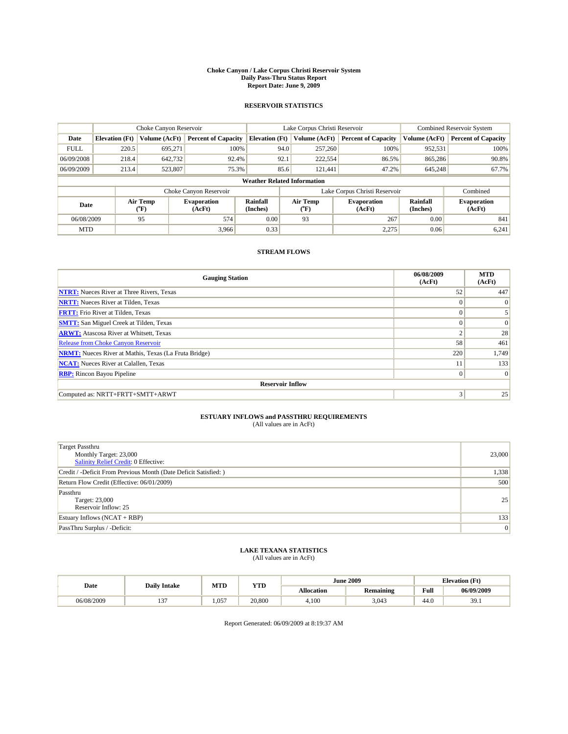#### **Choke Canyon / Lake Corpus Christi Reservoir System Daily Pass-Thru Status Report Report Date: June 9, 2009**

#### **RESERVOIR STATISTICS**

|             | Choke Canyon Reservoir                                                                                                                             |               | Lake Corpus Christi Reservoir |                                    |                               |               | Combined Reservoir System  |               |                            |
|-------------|----------------------------------------------------------------------------------------------------------------------------------------------------|---------------|-------------------------------|------------------------------------|-------------------------------|---------------|----------------------------|---------------|----------------------------|
| Date        | <b>Elevation</b> (Ft)                                                                                                                              | Volume (AcFt) | <b>Percent of Capacity</b>    | <b>Elevation (Ft)</b>              |                               | Volume (AcFt) | <b>Percent of Capacity</b> | Volume (AcFt) | <b>Percent of Capacity</b> |
| <b>FULL</b> | 220.5                                                                                                                                              | 695,271       | 100%                          |                                    | 94.0                          | 257,260       | 100%                       | 952,531       | 100%                       |
| 06/09/2008  | 218.4                                                                                                                                              | 642,732       | 92.4%                         |                                    | 92.1                          | 222,554       | 86.5%                      | 865,286       | 90.8%                      |
| 06/09/2009  | 213.4                                                                                                                                              | 523,807       | 75.3%                         |                                    | 85.6                          | 121.441       | 47.2%                      | 645,248       | 67.7%                      |
|             |                                                                                                                                                    |               |                               | <b>Weather Related Information</b> |                               |               |                            |               |                            |
|             |                                                                                                                                                    |               | Choke Canyon Reservoir        |                                    | Lake Corpus Christi Reservoir |               |                            |               | Combined                   |
|             | Air Temp<br>Rainfall<br>Air Temp<br><b>Evaporation</b><br><b>Evaporation</b><br>Date<br>(Inches)<br>${}^{\circ}$ F)<br>(AcFt)<br>$(^oF)$<br>(AcFt) |               | <b>Rainfall</b><br>(Inches)   | <b>Evaporation</b><br>(AcFt)       |                               |               |                            |               |                            |
| 06/08/2009  |                                                                                                                                                    | 95            | 574                           | 0.00                               |                               | 93            | 267                        | 0.00          | 841                        |
| <b>MTD</b>  |                                                                                                                                                    |               | 3,966                         | 0.33                               |                               |               | 2,275                      | 0.06          | 6,241                      |

### **STREAM FLOWS**

| <b>Gauging Station</b>                                       | 06/08/2009<br>(AcFt) | <b>MTD</b><br>(AcFt) |  |  |  |  |  |
|--------------------------------------------------------------|----------------------|----------------------|--|--|--|--|--|
| <b>NTRT:</b> Nueces River at Three Rivers, Texas             | 52                   | 447                  |  |  |  |  |  |
| <b>NRTT:</b> Nueces River at Tilden, Texas                   | $\Omega$             | $\Omega$             |  |  |  |  |  |
| <b>FRTT:</b> Frio River at Tilden, Texas                     | $\Omega$             |                      |  |  |  |  |  |
| <b>SMTT:</b> San Miguel Creek at Tilden, Texas               | $\Omega$             | $\Omega$             |  |  |  |  |  |
| <b>ARWT:</b> Atascosa River at Whitsett, Texas               | $\sim$               | 28                   |  |  |  |  |  |
| Release from Choke Canyon Reservoir                          | 58                   | 461                  |  |  |  |  |  |
| <b>NRMT:</b> Nueces River at Mathis, Texas (La Fruta Bridge) | 220                  | 1,749                |  |  |  |  |  |
| <b>NCAT:</b> Nueces River at Calallen, Texas                 | 11                   | 133                  |  |  |  |  |  |
| <b>RBP:</b> Rincon Bayou Pipeline                            | $\overline{0}$       | $\Omega$             |  |  |  |  |  |
| <b>Reservoir Inflow</b>                                      |                      |                      |  |  |  |  |  |
| Computed as: NRTT+FRTT+SMTT+ARWT                             | 3                    | 25                   |  |  |  |  |  |

# **ESTUARY INFLOWS and PASSTHRU REQUIREMENTS**<br>(All values are in AcFt)

| <b>Target Passthru</b><br>Monthly Target: 23,000<br>Salinity Relief Credit: 0 Effective: | 23,000 |
|------------------------------------------------------------------------------------------|--------|
| Credit / -Deficit From Previous Month (Date Deficit Satisfied: )                         | 1,338  |
| Return Flow Credit (Effective: 06/01/2009)                                               | 500    |
| Passthru<br>Target: 23,000<br>Reservoir Inflow: 25                                       | 25     |
| Estuary Inflows $(NCAT + RBP)$                                                           | 133    |
| PassThru Surplus / -Deficit:                                                             | 0      |

## **LAKE TEXANA STATISTICS** (All values are in AcFt)

| Date       | <b>Daily Intake</b> | MTD   | <b>YTD</b> | <b>June 2009</b> |                  |                                             | <b>Elevation</b> (Ft) |
|------------|---------------------|-------|------------|------------------|------------------|---------------------------------------------|-----------------------|
|            |                     |       |            | Allocation       | <b>Remaining</b> | Full<br>the contract of the contract of the | 06/09/2009            |
| 06/08/2009 | $\sim$              | 1.057 | 20,800     | 4.100            | 3,043            | 44.0                                        | 30<br>JJ.1            |

Report Generated: 06/09/2009 at 8:19:37 AM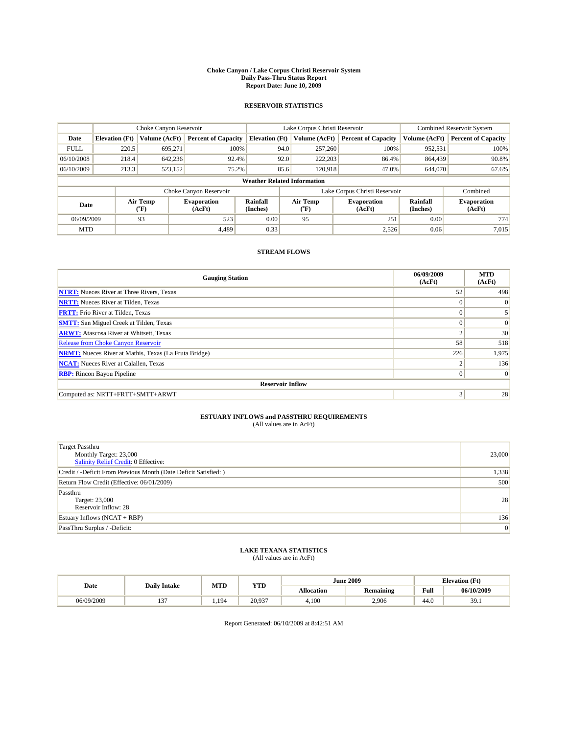#### **Choke Canyon / Lake Corpus Christi Reservoir System Daily Pass-Thru Status Report Report Date: June 10, 2009**

#### **RESERVOIR STATISTICS**

|             | Choke Canyon Reservoir |                                           |                              |                                    | Lake Corpus Christi Reservoir | <b>Combined Reservoir System</b> |                             |                              |
|-------------|------------------------|-------------------------------------------|------------------------------|------------------------------------|-------------------------------|----------------------------------|-----------------------------|------------------------------|
| Date        | <b>Elevation</b> (Ft)  | Volume (AcFt)                             | <b>Percent of Capacity</b>   | <b>Elevation</b> (Ft)              | Volume (AcFt)                 | <b>Percent of Capacity</b>       | Volume (AcFt)               | <b>Percent of Capacity</b>   |
| <b>FULL</b> | 220.5                  | 695,271                                   | 100%                         | 94.0                               | 257,260                       | 100%                             | 952,531                     | 100%                         |
| 06/10/2008  | 218.4                  | 642,236                                   | 92.4%                        | 92.0                               | 222,203                       | 86.4%                            | 864,439                     | 90.8%                        |
| 06/10/2009  | 213.3                  | 523,152                                   | 75.2%                        | 85.6                               | 120,918                       | 47.0%                            | 644,070                     | 67.6%                        |
|             |                        |                                           |                              | <b>Weather Related Information</b> |                               |                                  |                             |                              |
|             |                        |                                           | Choke Canyon Reservoir       |                                    | Lake Corpus Christi Reservoir |                                  |                             | Combined                     |
| Date        |                        | Air Temp<br>$({}^{\mathrm{o}}\mathrm{F})$ | <b>Evaporation</b><br>(AcFt) | Rainfall<br>(Inches)               | Air Temp<br>(°F)              | <b>Evaporation</b><br>(AcFt)     | <b>Rainfall</b><br>(Inches) | <b>Evaporation</b><br>(AcFt) |
| 06/09/2009  |                        | 93                                        | 523                          | 0.00                               | 95                            | 251                              | 0.00                        | 774                          |
| <b>MTD</b>  |                        |                                           | 4.489                        | 0.33                               |                               | 2,526                            | 0.06                        | 7,015                        |

### **STREAM FLOWS**

| <b>Gauging Station</b>                                       | 06/09/2009<br>(AcFt) | <b>MTD</b><br>(AcFt) |  |  |  |  |  |
|--------------------------------------------------------------|----------------------|----------------------|--|--|--|--|--|
| <b>NTRT:</b> Nueces River at Three Rivers, Texas             | 52                   | 498                  |  |  |  |  |  |
| <b>NRTT:</b> Nueces River at Tilden, Texas                   | $\Omega$             | $\Omega$             |  |  |  |  |  |
| <b>FRTT:</b> Frio River at Tilden, Texas                     | $\Omega$             |                      |  |  |  |  |  |
| <b>SMTT:</b> San Miguel Creek at Tilden, Texas               | $\Omega$             | $\Omega$             |  |  |  |  |  |
| <b>ARWT:</b> Atascosa River at Whitsett, Texas               | $\sim$               | 30                   |  |  |  |  |  |
| Release from Choke Canyon Reservoir                          | 58                   | 518                  |  |  |  |  |  |
| <b>NRMT:</b> Nueces River at Mathis, Texas (La Fruta Bridge) | 226                  | 1,975                |  |  |  |  |  |
| <b>NCAT:</b> Nueces River at Calallen, Texas                 | ∍                    | 136                  |  |  |  |  |  |
| <b>RBP:</b> Rincon Bayou Pipeline                            | $\mathbf{0}$         | $\Omega$             |  |  |  |  |  |
| <b>Reservoir Inflow</b>                                      |                      |                      |  |  |  |  |  |
| Computed as: NRTT+FRTT+SMTT+ARWT                             | 3                    | 28                   |  |  |  |  |  |

# **ESTUARY INFLOWS and PASSTHRU REQUIREMENTS**<br>(All values are in AcFt)

| Target Passthru<br>Monthly Target: 23,000<br>Salinity Relief Credit: 0 Effective: | 23,000 |
|-----------------------------------------------------------------------------------|--------|
| Credit / -Deficit From Previous Month (Date Deficit Satisfied: )                  | 1,338  |
| Return Flow Credit (Effective: 06/01/2009)                                        | 500    |
| Passthru<br>Target: 23,000<br>Reservoir Inflow: 28                                | 28     |
| Estuary Inflows $(NCAT + RBP)$                                                    | 136    |
| PassThru Surplus / -Deficit:                                                      | 0      |

## **LAKE TEXANA STATISTICS** (All values are in AcFt)

|            | <b>Daily Intake</b> | MTD | <b>YTD</b>      |                   | <b>June 2009</b> |      | <b>Elevation</b> (Ft) |
|------------|---------------------|-----|-----------------|-------------------|------------------|------|-----------------------|
| Date       |                     |     |                 | <b>Allocation</b> | <b>Remaining</b> | Full | 06/10/2009            |
| 06/09/2009 | $\sim$<br>. .       | 194 | 20.937<br>20.YS | 4.100             | 2.906            | 44.0 | 30<br><i></i>         |

Report Generated: 06/10/2009 at 8:42:51 AM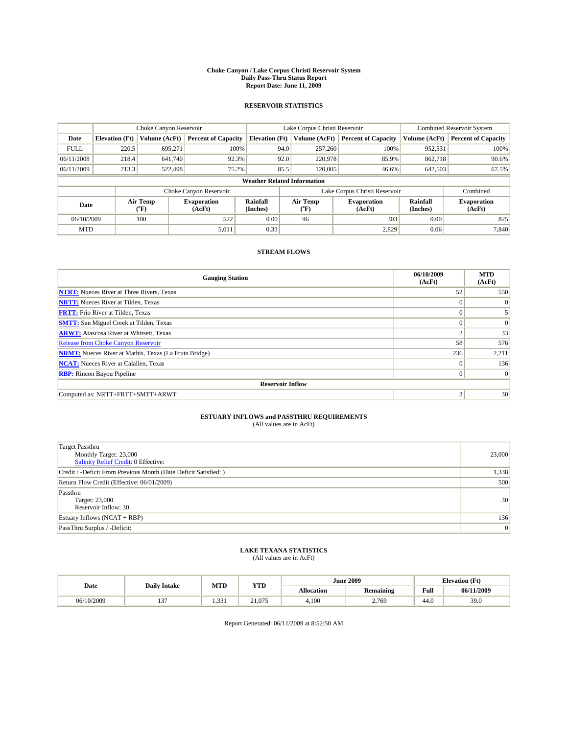#### **Choke Canyon / Lake Corpus Christi Reservoir System Daily Pass-Thru Status Report Report Date: June 11, 2009**

#### **RESERVOIR STATISTICS**

|             | Choke Canyon Reservoir |                                           |                              |                                    | Lake Corpus Christi Reservoir |                              |                             | <b>Combined Reservoir System</b> |  |
|-------------|------------------------|-------------------------------------------|------------------------------|------------------------------------|-------------------------------|------------------------------|-----------------------------|----------------------------------|--|
| Date        | <b>Elevation</b> (Ft)  | Volume (AcFt)                             | <b>Percent of Capacity</b>   | <b>Elevation</b> (Ft)              | Volume (AcFt)                 | <b>Percent of Capacity</b>   | Volume (AcFt)               | <b>Percent of Capacity</b>       |  |
| <b>FULL</b> | 220.5                  | 695,271                                   | 100%                         | 94.0                               | 257,260                       | 100%                         | 952,531                     | 100%                             |  |
| 06/11/2008  | 218.4                  | 641.740                                   | 92.3%                        | 92.0                               | 220,978                       | 85.9%                        | 862,718                     | 90.6%                            |  |
| 06/11/2009  | 213.3                  | 522.498                                   | 75.2%                        | 85.5                               | 120,005                       | 46.6%                        | 642,503                     | 67.5%                            |  |
|             |                        |                                           |                              | <b>Weather Related Information</b> |                               |                              |                             |                                  |  |
|             |                        |                                           | Choke Canyon Reservoir       |                                    | Lake Corpus Christi Reservoir |                              |                             | Combined                         |  |
| Date        |                        | Air Temp<br>$({}^{\mathrm{o}}\mathrm{F})$ | <b>Evaporation</b><br>(AcFt) | Rainfall<br>(Inches)               | Air Temp<br>(°F)              | <b>Evaporation</b><br>(AcFt) | <b>Rainfall</b><br>(Inches) | <b>Evaporation</b><br>(AcFt)     |  |
| 06/10/2009  |                        | 100                                       | 522                          | 0.00                               | 96                            | 303                          | 0.00                        | 825                              |  |
| <b>MTD</b>  |                        |                                           | 5,011                        | 0.33                               |                               | 2,829                        | 0.06                        | 7.840                            |  |

### **STREAM FLOWS**

| <b>Gauging Station</b>                                       | 06/10/2009<br>(AcFt) | <b>MTD</b><br>(AcFt) |  |  |  |  |  |
|--------------------------------------------------------------|----------------------|----------------------|--|--|--|--|--|
| <b>NTRT:</b> Nueces River at Three Rivers, Texas             | 52                   | 550                  |  |  |  |  |  |
| <b>NRTT:</b> Nueces River at Tilden, Texas                   | $\Omega$             | $\Omega$             |  |  |  |  |  |
| <b>FRTT:</b> Frio River at Tilden, Texas                     | $\Omega$             |                      |  |  |  |  |  |
| <b>SMTT:</b> San Miguel Creek at Tilden, Texas               | $\Omega$             | $\Omega$             |  |  |  |  |  |
| <b>ARWT:</b> Atascosa River at Whitsett, Texas               | $\Delta$             | 33                   |  |  |  |  |  |
| <b>Release from Choke Canyon Reservoir</b>                   | 58                   | 576                  |  |  |  |  |  |
| <b>NRMT:</b> Nueces River at Mathis, Texas (La Fruta Bridge) | 236                  | 2,211                |  |  |  |  |  |
| <b>NCAT:</b> Nueces River at Calallen, Texas                 | $\Omega$             | 136                  |  |  |  |  |  |
| <b>RBP:</b> Rincon Bayou Pipeline                            | $\overline{0}$       | $\Omega$             |  |  |  |  |  |
| <b>Reservoir Inflow</b>                                      |                      |                      |  |  |  |  |  |
| Computed as: NRTT+FRTT+SMTT+ARWT                             | 3                    | 30                   |  |  |  |  |  |

# **ESTUARY INFLOWS and PASSTHRU REQUIREMENTS**<br>(All values are in AcFt)

| Target Passthru<br>Monthly Target: 23,000<br>Salinity Relief Credit: 0 Effective: | 23,000 |
|-----------------------------------------------------------------------------------|--------|
| Credit / -Deficit From Previous Month (Date Deficit Satisfied: )                  | 1,338  |
| Return Flow Credit (Effective: 06/01/2009)                                        | 500    |
| Passthru<br>Target: 23,000<br>Reservoir Inflow: 30                                | 30     |
| Estuary Inflows $(NCAT + RBP)$                                                    | 136    |
| PassThru Surplus / -Deficit:                                                      | 0      |

# **LAKE TEXANA STATISTICS** (All values are in AcFt)

|            | <b>Daily Intake</b> | MTD                   | <b>YTD</b> |                   | <b>June 2009</b> |      | <b>Elevation</b> (Ft) |
|------------|---------------------|-----------------------|------------|-------------------|------------------|------|-----------------------|
| Date       |                     |                       |            | <b>Allocation</b> | <b>Remaining</b> | Full | 06/11/2009            |
| 06/10/2009 | $\sim$<br>. .       | $\sim$<br>-44<br>---- | 21.075     | 4.100             | 2,769            | 44.0 | 39.0                  |

Report Generated: 06/11/2009 at 8:52:50 AM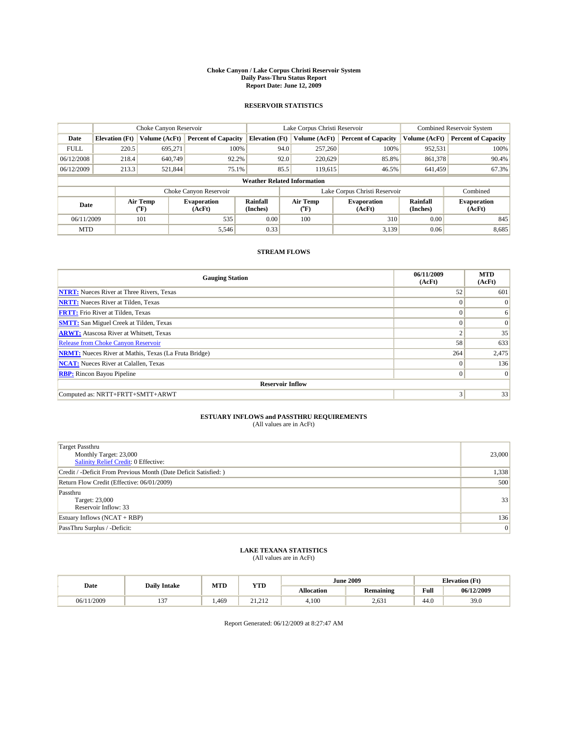#### **Choke Canyon / Lake Corpus Christi Reservoir System Daily Pass-Thru Status Report Report Date: June 12, 2009**

#### **RESERVOIR STATISTICS**

|             | Choke Canyon Reservoir |                                           |                              |                                    | Lake Corpus Christi Reservoir |                              |                      | <b>Combined Reservoir System</b> |  |
|-------------|------------------------|-------------------------------------------|------------------------------|------------------------------------|-------------------------------|------------------------------|----------------------|----------------------------------|--|
| Date        | <b>Elevation</b> (Ft)  | Volume (AcFt)                             | <b>Percent of Capacity</b>   | <b>Elevation</b> (Ft)              | Volume (AcFt)                 | <b>Percent of Capacity</b>   | Volume (AcFt)        | <b>Percent of Capacity</b>       |  |
| <b>FULL</b> | 220.5                  | 695,271                                   | 100%                         | 94.0                               | 257,260                       | 100%                         | 952,531              | 100%                             |  |
| 06/12/2008  | 218.4                  | 640,749                                   | 92.2%                        | 92.0                               | 220,629                       | 85.8%                        | 861,378              | 90.4%                            |  |
| 06/12/2009  | 213.3                  | 521,844                                   | 75.1%                        | 85.5                               | 119,615                       | 46.5%                        | 641,459              | 67.3%                            |  |
|             |                        |                                           |                              | <b>Weather Related Information</b> |                               |                              |                      |                                  |  |
|             |                        |                                           | Choke Canyon Reservoir       |                                    | Lake Corpus Christi Reservoir |                              |                      | Combined                         |  |
| Date        |                        | Air Temp<br>$({}^{\mathrm{o}}\mathrm{F})$ | <b>Evaporation</b><br>(AcFt) | <b>Rainfall</b><br>(Inches)        | Air Temp<br>(°F)              | <b>Evaporation</b><br>(AcFt) | Rainfall<br>(Inches) | <b>Evaporation</b><br>(AcFt)     |  |
| 06/11/2009  |                        | 101                                       | 535                          | 0.00                               | 100                           | 310                          | 0.00                 | 845                              |  |
| <b>MTD</b>  |                        |                                           | 5,546                        | 0.33                               |                               | 3.139                        | 0.06                 | 8,685                            |  |

### **STREAM FLOWS**

| <b>Gauging Station</b>                                       | 06/11/2009<br>(AcFt) | <b>MTD</b><br>(AcFt) |  |  |  |  |  |
|--------------------------------------------------------------|----------------------|----------------------|--|--|--|--|--|
| <b>NTRT:</b> Nueces River at Three Rivers, Texas             | 52                   | 601                  |  |  |  |  |  |
| <b>NRTT:</b> Nueces River at Tilden, Texas                   | $\Omega$             | $\Omega$             |  |  |  |  |  |
| <b>FRTT:</b> Frio River at Tilden, Texas                     | $\Omega$             | 6                    |  |  |  |  |  |
| <b>SMTT:</b> San Miguel Creek at Tilden, Texas               | $\Omega$             | $\Omega$             |  |  |  |  |  |
| <b>ARWT:</b> Atascosa River at Whitsett, Texas               | $\Delta$             | 35                   |  |  |  |  |  |
| <b>Release from Choke Canyon Reservoir</b>                   | 58                   | 633                  |  |  |  |  |  |
| <b>NRMT:</b> Nueces River at Mathis, Texas (La Fruta Bridge) | 264                  | 2,475                |  |  |  |  |  |
| <b>NCAT:</b> Nueces River at Calallen, Texas                 | $\Omega$             | 136                  |  |  |  |  |  |
| <b>RBP:</b> Rincon Bayou Pipeline                            | $\overline{0}$       | $\Omega$             |  |  |  |  |  |
| <b>Reservoir Inflow</b>                                      |                      |                      |  |  |  |  |  |
| Computed as: NRTT+FRTT+SMTT+ARWT                             | 3                    | 33                   |  |  |  |  |  |

# **ESTUARY INFLOWS and PASSTHRU REQUIREMENTS**<br>(All values are in AcFt)

| Target Passthru<br>Monthly Target: 23,000<br>Salinity Relief Credit: 0 Effective: | 23,000 |
|-----------------------------------------------------------------------------------|--------|
| Credit / -Deficit From Previous Month (Date Deficit Satisfied: )                  | 1,338  |
| Return Flow Credit (Effective: 06/01/2009)                                        | 500    |
| Passthru<br>Target: 23,000<br>Reservoir Inflow: 33                                | 33     |
| Estuary Inflows $(NCAT + RBP)$                                                    | 136    |
| PassThru Surplus / -Deficit:                                                      | 0      |

# **LAKE TEXANA STATISTICS** (All values are in AcFt)

| Date       | <b>Daily Intake</b> | MTD  | YTD                         | <b>June 2009</b> |                  |      | <b>Elevation</b> (Ft) |
|------------|---------------------|------|-----------------------------|------------------|------------------|------|-----------------------|
|            |                     |      |                             | Allocation       | <b>Remaining</b> | Full | 06/12/2009            |
| 06/11/2009 | $\sim$<br>$\cdot$   | ,469 | 212<br>$^{\sim}$ 1<br>----- | 4.100            | 2.631            | 44.0 | 39.0                  |

Report Generated: 06/12/2009 at 8:27:47 AM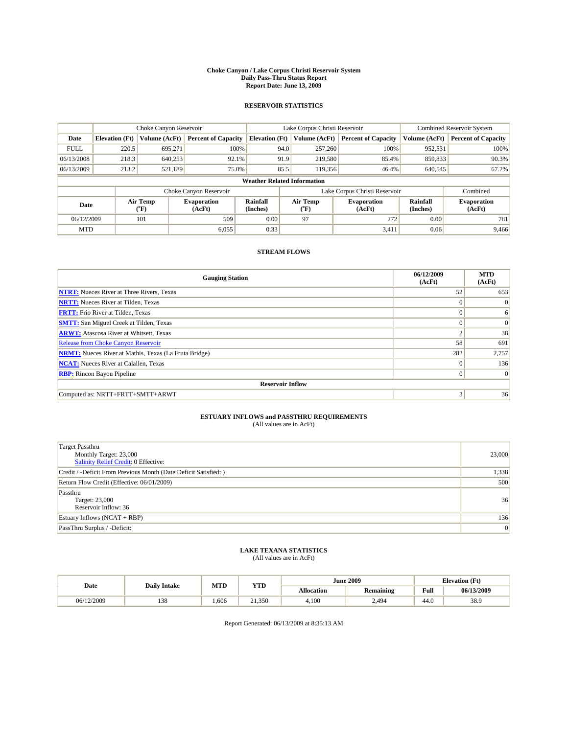#### **Choke Canyon / Lake Corpus Christi Reservoir System Daily Pass-Thru Status Report Report Date: June 13, 2009**

#### **RESERVOIR STATISTICS**

|             | Choke Canyon Reservoir             |                  |                              |                       | Lake Corpus Christi Reservoir |                               |                      | <b>Combined Reservoir System</b> |  |  |
|-------------|------------------------------------|------------------|------------------------------|-----------------------|-------------------------------|-------------------------------|----------------------|----------------------------------|--|--|
| Date        | <b>Elevation</b> (Ft)              | Volume (AcFt)    | <b>Percent of Capacity</b>   | <b>Elevation</b> (Ft) | Volume (AcFt)                 | <b>Percent of Capacity</b>    | Volume (AcFt)        | <b>Percent of Capacity</b>       |  |  |
| <b>FULL</b> | 220.5                              | 695,271          | 100%                         |                       | 257,260<br>94.0               | 100%                          | 952,531              | 100%                             |  |  |
| 06/13/2008  | 218.3                              | 640,253          | 92.1%                        |                       | 91.9<br>219,580               | 85.4%                         | 859,833              | 90.3%                            |  |  |
| 06/13/2009  | 213.2                              | 521.189          | 75.0%                        | 85.5                  | 119.356                       | 46.4%                         | 640,545              | 67.2%                            |  |  |
|             | <b>Weather Related Information</b> |                  |                              |                       |                               |                               |                      |                                  |  |  |
|             |                                    |                  | Choke Canyon Reservoir       |                       |                               | Lake Corpus Christi Reservoir |                      | Combined                         |  |  |
| Date        |                                    | Air Temp<br>(°F) | <b>Evaporation</b><br>(AcFt) | Rainfall<br>(Inches)  | Air Temp<br>("F)              | <b>Evaporation</b><br>(AcFt)  | Rainfall<br>(Inches) | <b>Evaporation</b><br>(AcFt)     |  |  |
| 06/12/2009  |                                    | 101              | 509                          | 0.00                  | 97                            | 272                           | 0.00                 | 781                              |  |  |
| <b>MTD</b>  |                                    |                  | 6.055                        | 0.33                  |                               | 3,411                         | 0.06                 | 9.466                            |  |  |

### **STREAM FLOWS**

| <b>Gauging Station</b>                                       | 06/12/2009<br>(AcFt) | <b>MTD</b><br>(AcFt) |  |  |  |  |  |
|--------------------------------------------------------------|----------------------|----------------------|--|--|--|--|--|
| <b>NTRT:</b> Nueces River at Three Rivers, Texas             | 52                   | 653                  |  |  |  |  |  |
| <b>NRTT:</b> Nueces River at Tilden, Texas                   | $\theta$             | $\Omega$             |  |  |  |  |  |
| <b>FRTT:</b> Frio River at Tilden, Texas                     | $\Omega$             | 6                    |  |  |  |  |  |
| <b>SMTT:</b> San Miguel Creek at Tilden, Texas               | $\theta$             | $\vert 0 \vert$      |  |  |  |  |  |
| <b>ARWT:</b> Atascosa River at Whitsett, Texas               | $\overline{2}$       | 38                   |  |  |  |  |  |
| <b>Release from Choke Canyon Reservoir</b>                   | 58                   | 691                  |  |  |  |  |  |
| <b>NRMT:</b> Nueces River at Mathis, Texas (La Fruta Bridge) | 282                  | 2,757                |  |  |  |  |  |
| <b>NCAT:</b> Nueces River at Calallen, Texas                 | $\theta$             | 136                  |  |  |  |  |  |
| <b>RBP:</b> Rincon Bayou Pipeline                            | $\mathbf{0}$         | $\vert$ 0            |  |  |  |  |  |
| <b>Reservoir Inflow</b>                                      |                      |                      |  |  |  |  |  |
| Computed as: NRTT+FRTT+SMTT+ARWT                             | 3                    | 36                   |  |  |  |  |  |

# **ESTUARY INFLOWS and PASSTHRU REQUIREMENTS**<br>(All values are in AcFt)

| <b>Target Passthru</b><br>Monthly Target: 23,000<br>Salinity Relief Credit: 0 Effective: | 23,000 |
|------------------------------------------------------------------------------------------|--------|
| Credit / -Deficit From Previous Month (Date Deficit Satisfied: )                         | 1,338  |
| Return Flow Credit (Effective: 06/01/2009)                                               | 500    |
| Passthru<br>Target: 23,000<br>Reservoir Inflow: 36                                       | 36     |
| Estuary Inflows $(NCAT + RBP)$                                                           | 136    |
| PassThru Surplus / -Deficit:                                                             | 0      |

## **LAKE TEXANA STATISTICS** (All values are in AcFt)

| Date       | <b>Daily Intake</b> | MTD  | <b>YTD</b> | <b>June 2009</b>  |                  |      | <b>Elevation</b> (Ft) |
|------------|---------------------|------|------------|-------------------|------------------|------|-----------------------|
|            |                     |      |            | <b>Allocation</b> | <b>Remaining</b> | Full | 06/13/2009            |
| 06/12/2009 | 120<br>138          | .606 | 21.350     | 4.100             | 2,494            | 44.0 | 38.9                  |

Report Generated: 06/13/2009 at 8:35:13 AM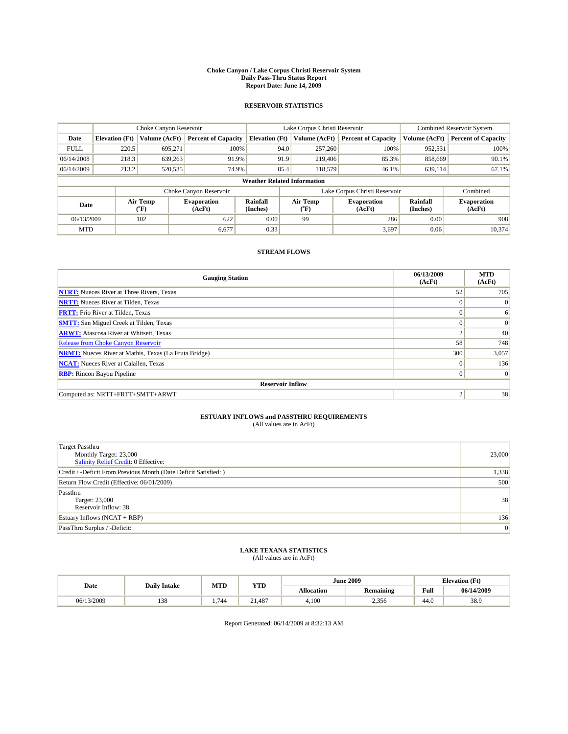#### **Choke Canyon / Lake Corpus Christi Reservoir System Daily Pass-Thru Status Report Report Date: June 14, 2009**

#### **RESERVOIR STATISTICS**

|             | Choke Canyon Reservoir             |                                           |                              |                             | Lake Corpus Christi Reservoir |                               |                             | <b>Combined Reservoir System</b> |  |  |
|-------------|------------------------------------|-------------------------------------------|------------------------------|-----------------------------|-------------------------------|-------------------------------|-----------------------------|----------------------------------|--|--|
| Date        | <b>Elevation</b> (Ft)              | Volume (AcFt)                             | <b>Percent of Capacity</b>   | <b>Elevation</b> (Ft)       | Volume (AcFt)                 | <b>Percent of Capacity</b>    | Volume (AcFt)               | <b>Percent of Capacity</b>       |  |  |
| <b>FULL</b> | 220.5                              | 695,271                                   | 100%                         | 94.0                        | 257,260                       | 100%                          | 952,531                     | 100%                             |  |  |
| 06/14/2008  | 218.3                              | 639,263                                   | 91.9%                        | 91.9                        | 219,406                       | 85.3%                         | 858,669                     | 90.1%                            |  |  |
| 06/14/2009  | 213.2                              | 520,535                                   | 74.9%                        | 85.4                        | 118,579                       | 46.1%                         | 639,114                     | 67.1%                            |  |  |
|             | <b>Weather Related Information</b> |                                           |                              |                             |                               |                               |                             |                                  |  |  |
|             |                                    |                                           | Choke Canyon Reservoir       |                             |                               | Lake Corpus Christi Reservoir |                             | Combined                         |  |  |
| Date        |                                    | Air Temp<br>$({}^{\mathrm{o}}\mathrm{F})$ | <b>Evaporation</b><br>(AcFt) | <b>Rainfall</b><br>(Inches) | Air Temp<br>(°F)              | <b>Evaporation</b><br>(AcFt)  | <b>Rainfall</b><br>(Inches) | <b>Evaporation</b><br>(AcFt)     |  |  |
| 06/13/2009  |                                    | 102                                       | 622                          | 0.00                        | 99                            | 286                           | 0.00                        | 908                              |  |  |
| <b>MTD</b>  |                                    |                                           | 6,677                        | 0.33                        |                               | 3,697                         | 0.06                        | 10.374                           |  |  |

### **STREAM FLOWS**

| <b>Gauging Station</b>                                       | 06/13/2009<br>(AcFt) | <b>MTD</b><br>(AcFt) |  |  |  |  |  |
|--------------------------------------------------------------|----------------------|----------------------|--|--|--|--|--|
| <b>NTRT:</b> Nueces River at Three Rivers, Texas             | 52                   | 705                  |  |  |  |  |  |
| <b>NRTT:</b> Nueces River at Tilden, Texas                   | $\Omega$             | $\Omega$             |  |  |  |  |  |
| <b>FRTT:</b> Frio River at Tilden, Texas                     | $\Omega$             | 6                    |  |  |  |  |  |
| <b>SMTT:</b> San Miguel Creek at Tilden, Texas               | $\Omega$             | $\Omega$             |  |  |  |  |  |
| <b>ARWT:</b> Atascosa River at Whitsett, Texas               | $\sim$               | 40                   |  |  |  |  |  |
| Release from Choke Canyon Reservoir                          | 58                   | 748                  |  |  |  |  |  |
| <b>NRMT:</b> Nueces River at Mathis, Texas (La Fruta Bridge) | 300                  | 3,057                |  |  |  |  |  |
| <b>NCAT:</b> Nueces River at Calallen, Texas                 | $\Omega$             | 136                  |  |  |  |  |  |
| <b>RBP:</b> Rincon Bayou Pipeline                            | $\overline{0}$       | $\Omega$             |  |  |  |  |  |
| <b>Reservoir Inflow</b>                                      |                      |                      |  |  |  |  |  |
| Computed as: NRTT+FRTT+SMTT+ARWT                             | 2                    | 38                   |  |  |  |  |  |

# **ESTUARY INFLOWS and PASSTHRU REQUIREMENTS**

| (All values are in AcFt) |  |
|--------------------------|--|
|--------------------------|--|

| <b>Target Passthru</b><br>Monthly Target: 23,000<br>Salinity Relief Credit: 0 Effective: | 23,000 |
|------------------------------------------------------------------------------------------|--------|
| Credit / -Deficit From Previous Month (Date Deficit Satisfied: )                         | 1,338  |
| Return Flow Credit (Effective: 06/01/2009)                                               | 500    |
| Passthru<br>Target: 23,000<br>Reservoir Inflow: 38                                       | 38     |
| Estuary Inflows (NCAT + RBP)                                                             | 136    |
| PassThru Surplus / -Deficit:                                                             | 0      |

## **LAKE TEXANA STATISTICS** (All values are in AcFt)

| Date       | <b>Daily Intake</b> | MTD | <b>YTD</b> | <b>June 2009</b>  |                  |      | <b>Elevation</b> (Ft) |
|------------|---------------------|-----|------------|-------------------|------------------|------|-----------------------|
|            |                     |     |            | <b>Allocation</b> | <b>Remaining</b> | Full | 06/14/2009            |
| 06/13/2009 | 120<br>138          | 744 | 21.487     | 4.100             | 2,356            | 44.0 | 38.9                  |

Report Generated: 06/14/2009 at 8:32:13 AM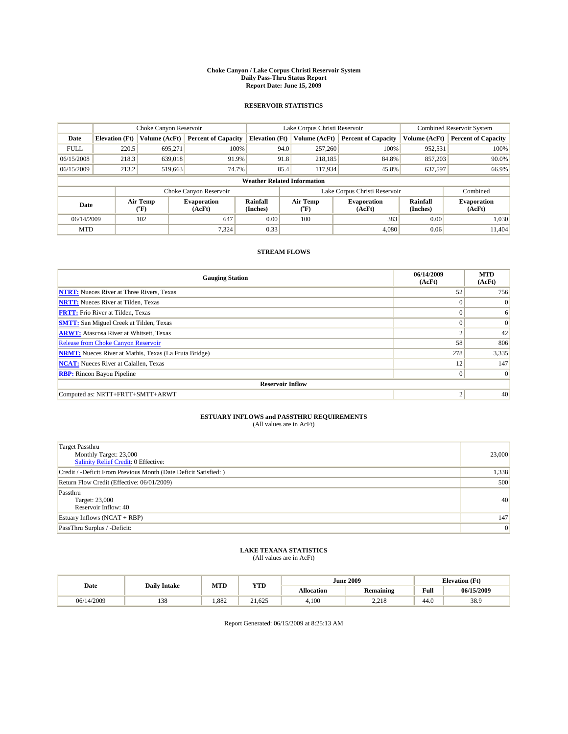#### **Choke Canyon / Lake Corpus Christi Reservoir System Daily Pass-Thru Status Report Report Date: June 15, 2009**

#### **RESERVOIR STATISTICS**

|             | Choke Canyon Reservoir             |                                           |                              |                             | Lake Corpus Christi Reservoir | <b>Combined Reservoir System</b> |                             |                              |  |  |
|-------------|------------------------------------|-------------------------------------------|------------------------------|-----------------------------|-------------------------------|----------------------------------|-----------------------------|------------------------------|--|--|
| Date        | <b>Elevation</b> (Ft)              | Volume (AcFt)                             | <b>Percent of Capacity</b>   | <b>Elevation</b> (Ft)       | Volume (AcFt)                 | <b>Percent of Capacity</b>       | Volume (AcFt)               | <b>Percent of Capacity</b>   |  |  |
| <b>FULL</b> | 220.5                              | 695,271                                   | 100%                         | 94.0                        | 257,260                       | 100%                             | 952,531                     | 100%                         |  |  |
| 06/15/2008  | 218.3                              | 639,018                                   | 91.9%                        | 91.8                        | 218,185                       | 84.8%                            | 857,203                     | 90.0%                        |  |  |
| 06/15/2009  | 213.2                              | 519,663                                   | 74.7%                        | 85.4                        | 117,934                       | 45.8%                            | 637,597                     | 66.9%                        |  |  |
|             | <b>Weather Related Information</b> |                                           |                              |                             |                               |                                  |                             |                              |  |  |
|             |                                    |                                           | Choke Canyon Reservoir       |                             |                               | Lake Corpus Christi Reservoir    |                             | Combined                     |  |  |
| Date        |                                    | Air Temp<br>$({}^{\mathrm{o}}\mathrm{F})$ | <b>Evaporation</b><br>(AcFt) | <b>Rainfall</b><br>(Inches) | Air Temp<br>(°F)              | <b>Evaporation</b><br>(AcFt)     | <b>Rainfall</b><br>(Inches) | <b>Evaporation</b><br>(AcFt) |  |  |
| 06/14/2009  |                                    | 102                                       | 647                          | 0.00                        | 100                           | 383                              | 0.00                        | 1.030                        |  |  |
| <b>MTD</b>  |                                    |                                           | 7.324                        | 0.33                        |                               | 4.080                            | 0.06                        | 11.404                       |  |  |

### **STREAM FLOWS**

| <b>Gauging Station</b>                                       | 06/14/2009<br>(AcFt) | <b>MTD</b><br>(AcFt) |  |  |  |  |  |
|--------------------------------------------------------------|----------------------|----------------------|--|--|--|--|--|
| <b>NTRT:</b> Nueces River at Three Rivers, Texas             | 52                   | 756                  |  |  |  |  |  |
| <b>NRTT:</b> Nueces River at Tilden, Texas                   | $\Omega$             | $\Omega$             |  |  |  |  |  |
| <b>FRTT:</b> Frio River at Tilden, Texas                     | $\Omega$             | 6                    |  |  |  |  |  |
| <b>SMTT:</b> San Miguel Creek at Tilden, Texas               | $\Omega$             | $\Omega$             |  |  |  |  |  |
| <b>ARWT:</b> Atascosa River at Whitsett, Texas               | ◠                    | 42                   |  |  |  |  |  |
| <b>Release from Choke Canyon Reservoir</b>                   | 58                   | 806                  |  |  |  |  |  |
| <b>NRMT:</b> Nueces River at Mathis, Texas (La Fruta Bridge) | 278                  | 3,335                |  |  |  |  |  |
| <b>NCAT:</b> Nueces River at Calallen, Texas                 | 12                   | 147                  |  |  |  |  |  |
| <b>RBP:</b> Rincon Bayou Pipeline                            | $\overline{0}$       | $\Omega$             |  |  |  |  |  |
| <b>Reservoir Inflow</b>                                      |                      |                      |  |  |  |  |  |
| Computed as: NRTT+FRTT+SMTT+ARWT                             | 2                    | 40                   |  |  |  |  |  |

# **ESTUARY INFLOWS and PASSTHRU REQUIREMENTS**<br>(All values are in AcFt)

| Target Passthru<br>Monthly Target: 23,000<br>Salinity Relief Credit: 0 Effective: | 23,000 |
|-----------------------------------------------------------------------------------|--------|
| Credit / -Deficit From Previous Month (Date Deficit Satisfied: )                  | 1,338  |
| Return Flow Credit (Effective: 06/01/2009)                                        | 500    |
| Passthru<br>Target: 23,000<br>Reservoir Inflow: 40                                | 40     |
| Estuary Inflows $(NCAT + RBP)$                                                    | 147    |
| PassThru Surplus / -Deficit:                                                      | 0      |

# **LAKE TEXANA STATISTICS** (All values are in AcFt)

| Date       | <b>Daily Intake</b> | MTD  | <b>YTD</b> |                   | <b>June 2009</b> | <b>Elevation</b> (Ft) |            |
|------------|---------------------|------|------------|-------------------|------------------|-----------------------|------------|
|            |                     |      |            | <b>Allocation</b> | <b>Remaining</b> | Full                  | 06/15/2009 |
| 06/14/2009 | 120<br>138          | .882 | 21.625     | 4.100             | 0.21C<br>نائكہ ک | 44.0                  | 38.9       |

Report Generated: 06/15/2009 at 8:25:13 AM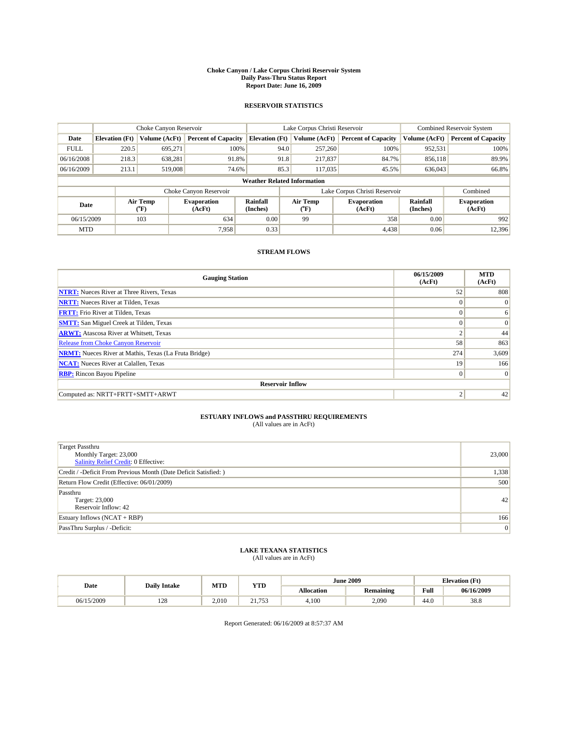#### **Choke Canyon / Lake Corpus Christi Reservoir System Daily Pass-Thru Status Report Report Date: June 16, 2009**

#### **RESERVOIR STATISTICS**

|                                    |                       | Choke Canyon Reservoir |                              |                       | Lake Corpus Christi Reservoir | <b>Combined Reservoir System</b> |                      |                              |  |
|------------------------------------|-----------------------|------------------------|------------------------------|-----------------------|-------------------------------|----------------------------------|----------------------|------------------------------|--|
| Date                               | <b>Elevation</b> (Ft) | Volume (AcFt)          | <b>Percent of Capacity</b>   | <b>Elevation</b> (Ft) | Volume (AcFt)                 | <b>Percent of Capacity</b>       | Volume (AcFt)        | <b>Percent of Capacity</b>   |  |
| <b>FULL</b>                        | 220.5                 | 695,271                | 100%                         | 94.0                  | 257,260                       | 100%                             | 952,531              | 100%                         |  |
| 06/16/2008                         | 218.3                 | 638,281                | 91.8%                        | 91.8                  | 217,837                       | 84.7%                            | 856,118              | 89.9%                        |  |
| 06/16/2009                         | 213.1                 | 519,008                | 74.6%                        | 85.3                  | 117,035                       | 45.5%                            | 636,043              | 66.8%                        |  |
| <b>Weather Related Information</b> |                       |                        |                              |                       |                               |                                  |                      |                              |  |
|                                    |                       |                        | Choke Canyon Reservoir       |                       | Lake Corpus Christi Reservoir |                                  | Combined             |                              |  |
| Date                               |                       | Air Temp<br>(°F)       | <b>Evaporation</b><br>(AcFt) | Rainfall<br>(Inches)  | Air Temp<br>("F)              | <b>Evaporation</b><br>(AcFt)     | Rainfall<br>(Inches) | <b>Evaporation</b><br>(AcFt) |  |
| 06/15/2009                         |                       | 103                    | 634                          | 0.00                  | 99                            | 358                              | 0.00                 | 992                          |  |
| <b>MTD</b>                         |                       |                        | 7.958                        | 0.33                  |                               | 4,438                            | 0.06                 | 12.396                       |  |

### **STREAM FLOWS**

| <b>Gauging Station</b>                                       | 06/15/2009<br>(AcFt) | <b>MTD</b><br>(AcFt) |  |  |  |  |  |
|--------------------------------------------------------------|----------------------|----------------------|--|--|--|--|--|
| <b>NTRT:</b> Nueces River at Three Rivers, Texas             | 52                   | 808                  |  |  |  |  |  |
| <b>NRTT:</b> Nueces River at Tilden, Texas                   | $\theta$             | $\Omega$             |  |  |  |  |  |
| <b>FRTT:</b> Frio River at Tilden, Texas                     | $\Omega$             | 6                    |  |  |  |  |  |
| <b>SMTT:</b> San Miguel Creek at Tilden, Texas               | $\theta$             | $\vert 0 \vert$      |  |  |  |  |  |
| <b>ARWT:</b> Atascosa River at Whitsett, Texas               | $\overline{2}$       | 44                   |  |  |  |  |  |
| <b>Release from Choke Canyon Reservoir</b>                   | 58                   | 863                  |  |  |  |  |  |
| <b>NRMT:</b> Nueces River at Mathis, Texas (La Fruta Bridge) | 274                  | 3,609                |  |  |  |  |  |
| <b>NCAT:</b> Nueces River at Calallen, Texas                 | 19                   | 166                  |  |  |  |  |  |
| <b>RBP:</b> Rincon Bayou Pipeline                            | $\mathbf{0}$         | $\vert$ 0            |  |  |  |  |  |
| <b>Reservoir Inflow</b>                                      |                      |                      |  |  |  |  |  |
| Computed as: NRTT+FRTT+SMTT+ARWT                             |                      | 42                   |  |  |  |  |  |

# **ESTUARY INFLOWS and PASSTHRU REQUIREMENTS**<br>(All values are in AcFt)

| <b>Target Passthru</b><br>Monthly Target: 23,000<br>Salinity Relief Credit: 0 Effective: | 23,000 |
|------------------------------------------------------------------------------------------|--------|
| Credit / -Deficit From Previous Month (Date Deficit Satisfied: )                         | 1,338  |
| Return Flow Credit (Effective: 06/01/2009)                                               | 500    |
| Passthru<br>Target: 23,000<br>Reservoir Inflow: 42                                       | 42     |
| Estuary Inflows $(NCAT + RBP)$                                                           | 166    |
| PassThru Surplus / -Deficit:                                                             | 0      |

## **LAKE TEXANA STATISTICS** (All values are in AcFt)

|            | <b>Daily Intake</b> | MTD   | <b>YTD</b>                          |            | <b>June 2009</b> | <b>Elevation</b> (Ft)                       |            |
|------------|---------------------|-------|-------------------------------------|------------|------------------|---------------------------------------------|------------|
| Date       |                     |       |                                     | Allocation | <b>Remaining</b> | Full<br>the contract of the contract of the | 06/16/2009 |
| 06/15/2009 | 100<br>140          | 2.010 | 752<br>$^{\sim}$<br><u>.</u><br>ن ر | 4.100      | 2.090            | 44.0                                        | 38.8       |

Report Generated: 06/16/2009 at 8:57:37 AM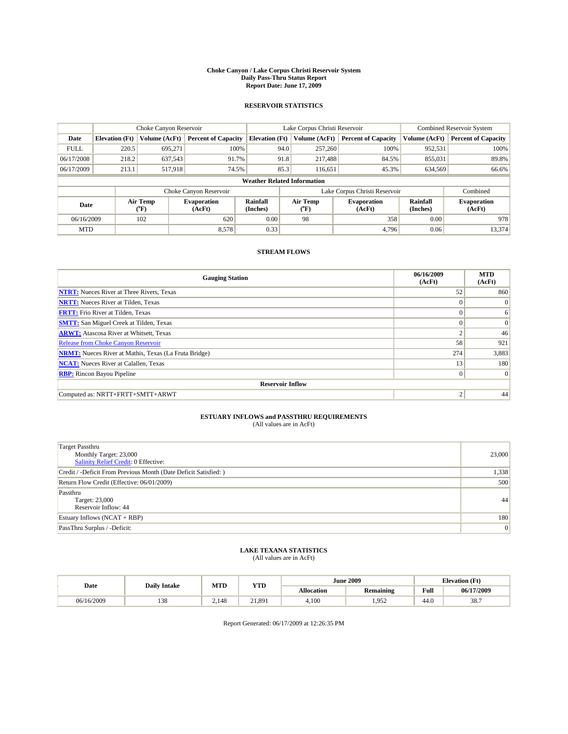#### **Choke Canyon / Lake Corpus Christi Reservoir System Daily Pass-Thru Status Report Report Date: June 17, 2009**

#### **RESERVOIR STATISTICS**

|             |                                    | Choke Canyon Reservoir |                              |                             | Lake Corpus Christi Reservoir | <b>Combined Reservoir System</b> |                      |                              |  |
|-------------|------------------------------------|------------------------|------------------------------|-----------------------------|-------------------------------|----------------------------------|----------------------|------------------------------|--|
| Date        | <b>Elevation</b> (Ft)              | Volume (AcFt)          | <b>Percent of Capacity</b>   | <b>Elevation (Ft)</b>       | Volume (AcFt)                 | <b>Percent of Capacity</b>       | Volume (AcFt)        | <b>Percent of Capacity</b>   |  |
| <b>FULL</b> | 220.5                              | 695,271                | 100%                         |                             | 257,260<br>94.0               | 100%                             | 952,531              | 100%                         |  |
| 06/17/2008  | 218.2                              | 637,543                | 91.7%                        |                             | 91.8<br>217,488               | 84.5%                            | 855,031              | 89.8%                        |  |
| 06/17/2009  | 213.1                              | 517,918                | 74.5%                        |                             | 85.3<br>116,651               | 45.3%                            | 634,569              | 66.6%                        |  |
|             | <b>Weather Related Information</b> |                        |                              |                             |                               |                                  |                      |                              |  |
|             |                                    |                        | Choke Canyon Reservoir       |                             |                               | Lake Corpus Christi Reservoir    |                      | Combined                     |  |
| Date        |                                    | Air Temp<br>(°F)       | <b>Evaporation</b><br>(AcFt) | <b>Rainfall</b><br>(Inches) | Air Temp<br>(°F)              | <b>Evaporation</b><br>(AcFt)     | Rainfall<br>(Inches) | <b>Evaporation</b><br>(AcFt) |  |
| 06/16/2009  |                                    | 102                    | 620                          | 0.00                        | 98                            | 358                              | 0.00                 | 978                          |  |
| <b>MTD</b>  |                                    |                        | 8,578                        | 0.33                        |                               | 4.796                            | 0.06                 | 13.374                       |  |

### **STREAM FLOWS**

| <b>Gauging Station</b>                                       | 06/16/2009<br>(AcFt) | <b>MTD</b><br>(AcFt) |  |  |  |  |  |
|--------------------------------------------------------------|----------------------|----------------------|--|--|--|--|--|
| <b>NTRT:</b> Nueces River at Three Rivers, Texas             | 52                   | 860                  |  |  |  |  |  |
| <b>NRTT:</b> Nueces River at Tilden, Texas                   | $\Omega$             | $\Omega$             |  |  |  |  |  |
| <b>FRTT:</b> Frio River at Tilden, Texas                     | $\Omega$             | 6                    |  |  |  |  |  |
| <b>SMTT:</b> San Miguel Creek at Tilden, Texas               | $\Omega$             | $\Omega$             |  |  |  |  |  |
| <b>ARWT:</b> Atascosa River at Whitsett, Texas               | $\sim$               | 46                   |  |  |  |  |  |
| Release from Choke Canyon Reservoir                          | 58                   | 921                  |  |  |  |  |  |
| <b>NRMT:</b> Nueces River at Mathis, Texas (La Fruta Bridge) | 274                  | 3,883                |  |  |  |  |  |
| <b>NCAT:</b> Nueces River at Calallen, Texas                 | 13                   | 180                  |  |  |  |  |  |
| <b>RBP:</b> Rincon Bayou Pipeline                            | $\overline{0}$       | $\Omega$             |  |  |  |  |  |
| <b>Reservoir Inflow</b>                                      |                      |                      |  |  |  |  |  |
| Computed as: NRTT+FRTT+SMTT+ARWT                             | 2                    | 44                   |  |  |  |  |  |

# **ESTUARY INFLOWS and PASSTHRU REQUIREMENTS**<br>(All values are in AcFt)

| <b>Target Passthru</b><br>Monthly Target: 23,000<br>Salinity Relief Credit: 0 Effective: | 23,000 |
|------------------------------------------------------------------------------------------|--------|
| Credit / -Deficit From Previous Month (Date Deficit Satisfied: )                         | 1,338  |
| Return Flow Credit (Effective: 06/01/2009)                                               | 500    |
| Passthru<br>Target: 23,000<br>Reservoir Inflow: 44                                       | 44     |
| Estuary Inflows $(NCAT + RBP)$                                                           | 180    |
| PassThru Surplus / -Deficit:                                                             | 0      |

## **LAKE TEXANA STATISTICS** (All values are in AcFt)

| Date       | <b>Daily Intake</b> | MTD   | <b>YTD</b> |                   | <b>June 2009</b> | <b>Elevation</b> (Ft) |            |
|------------|---------------------|-------|------------|-------------------|------------------|-----------------------|------------|
|            |                     |       |            | <b>Allocation</b> | <b>Remaining</b> | Full                  | 06/17/2009 |
| 06/16/2009 | 120<br>138          | 2.148 | 21,891     | 4.100             | 952<br>ے رہے     | 44.0                  | 38.7       |

Report Generated: 06/17/2009 at 12:26:35 PM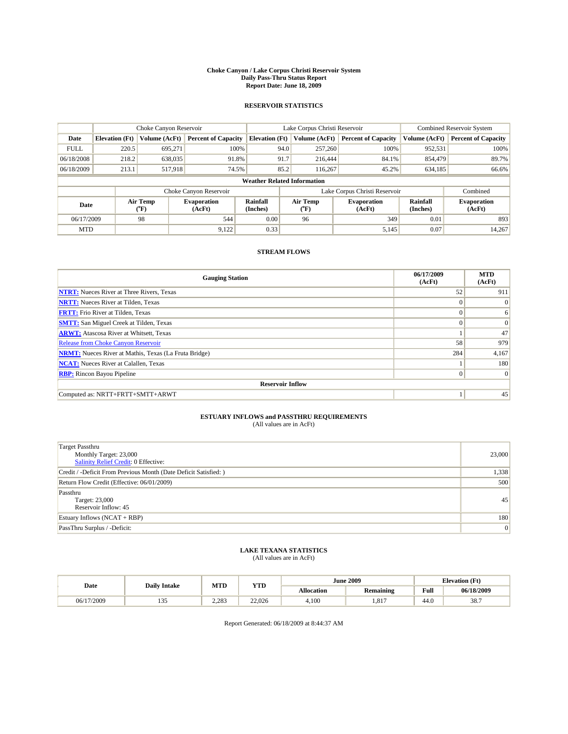#### **Choke Canyon / Lake Corpus Christi Reservoir System Daily Pass-Thru Status Report Report Date: June 18, 2009**

#### **RESERVOIR STATISTICS**

|             | Choke Canyon Reservoir             |                  |                              |                       | Lake Corpus Christi Reservoir | <b>Combined Reservoir System</b> |                      |                              |  |  |
|-------------|------------------------------------|------------------|------------------------------|-----------------------|-------------------------------|----------------------------------|----------------------|------------------------------|--|--|
| Date        | <b>Elevation</b> (Ft)              | Volume (AcFt)    | <b>Percent of Capacity</b>   | <b>Elevation</b> (Ft) | Volume (AcFt)                 | <b>Percent of Capacity</b>       | Volume (AcFt)        | <b>Percent of Capacity</b>   |  |  |
| <b>FULL</b> | 220.5                              | 695,271          | 100%                         | 94.0                  | 257,260                       | 100%                             | 952,531              | 100%                         |  |  |
| 06/18/2008  | 218.2                              | 638,035          | 91.8%                        | 91.7                  | 216,444                       | 84.1%                            | 854,479              | 89.7%                        |  |  |
| 06/18/2009  | 213.1                              | 517,918          | 74.5%                        | 85.2                  | 116,267                       | 45.2%                            | 634,185              | 66.6%                        |  |  |
|             | <b>Weather Related Information</b> |                  |                              |                       |                               |                                  |                      |                              |  |  |
|             |                                    |                  | Choke Canyon Reservoir       |                       |                               | Lake Corpus Christi Reservoir    |                      | Combined                     |  |  |
| Date        |                                    | Air Temp<br>(°F) | <b>Evaporation</b><br>(AcFt) | Rainfall<br>(Inches)  | Air Temp<br>("F)              | <b>Evaporation</b><br>(AcFt)     | Rainfall<br>(Inches) | <b>Evaporation</b><br>(AcFt) |  |  |
| 06/17/2009  |                                    | 98               | 544                          | 0.00                  | 96                            | 349                              | 0.01                 | 893                          |  |  |
| <b>MTD</b>  |                                    |                  | 9,122                        | 0.33                  |                               | 5,145                            | 0.07                 | 14.267                       |  |  |

### **STREAM FLOWS**

| <b>Gauging Station</b>                                       | 06/17/2009<br>(AcFt) | <b>MTD</b><br>(AcFt) |  |  |  |  |  |
|--------------------------------------------------------------|----------------------|----------------------|--|--|--|--|--|
| <b>NTRT:</b> Nueces River at Three Rivers, Texas             | 52                   | 911                  |  |  |  |  |  |
| <b>NRTT:</b> Nueces River at Tilden, Texas                   | $\theta$             | $\Omega$             |  |  |  |  |  |
| <b>FRTT:</b> Frio River at Tilden, Texas                     | $\Omega$             | 6                    |  |  |  |  |  |
| <b>SMTT:</b> San Miguel Creek at Tilden, Texas               | $\theta$             | $\Omega$             |  |  |  |  |  |
| <b>ARWT:</b> Atascosa River at Whitsett, Texas               |                      | 47                   |  |  |  |  |  |
| Release from Choke Canyon Reservoir                          | 58                   | 979                  |  |  |  |  |  |
| <b>NRMT:</b> Nueces River at Mathis, Texas (La Fruta Bridge) | 284                  | 4,167                |  |  |  |  |  |
| <b>NCAT:</b> Nueces River at Calallen, Texas                 |                      | 180                  |  |  |  |  |  |
| <b>RBP:</b> Rincon Bayou Pipeline                            | $\mathbf{0}$         | $\vert$ 0            |  |  |  |  |  |
| <b>Reservoir Inflow</b>                                      |                      |                      |  |  |  |  |  |
| Computed as: NRTT+FRTT+SMTT+ARWT                             |                      | 45                   |  |  |  |  |  |

# **ESTUARY INFLOWS and PASSTHRU REQUIREMENTS**<br>(All values are in AcFt)

| <b>Target Passthru</b><br>Monthly Target: 23,000<br>Salinity Relief Credit: 0 Effective: | 23,000 |
|------------------------------------------------------------------------------------------|--------|
| Credit / -Deficit From Previous Month (Date Deficit Satisfied: )                         | 1,338  |
| Return Flow Credit (Effective: 06/01/2009)                                               | 500    |
| Passthru<br>Target: 23,000<br>Reservoir Inflow: 45                                       | 45     |
| Estuary Inflows $(NCAT + RBP)$                                                           | 180    |
| PassThru Surplus / -Deficit:                                                             | 0      |

## **LAKE TEXANA STATISTICS** (All values are in AcFt)

|            | <b>Daily Intake</b>    | MTD   | <b>YTD</b> |                   | <b>June 2009</b> | <b>Elevation</b> (Ft)                       |            |
|------------|------------------------|-------|------------|-------------------|------------------|---------------------------------------------|------------|
| Date       |                        |       |            | <b>Allocation</b> | <b>Remaining</b> | Full<br>the contract of the contract of the | 06/18/2009 |
| 06/17/2009 | $\sim$ $\sim$<br>ر د د | 2.283 | 22,026     | 4.100             | .817             | 44.0                                        | 38.7       |

Report Generated: 06/18/2009 at 8:44:37 AM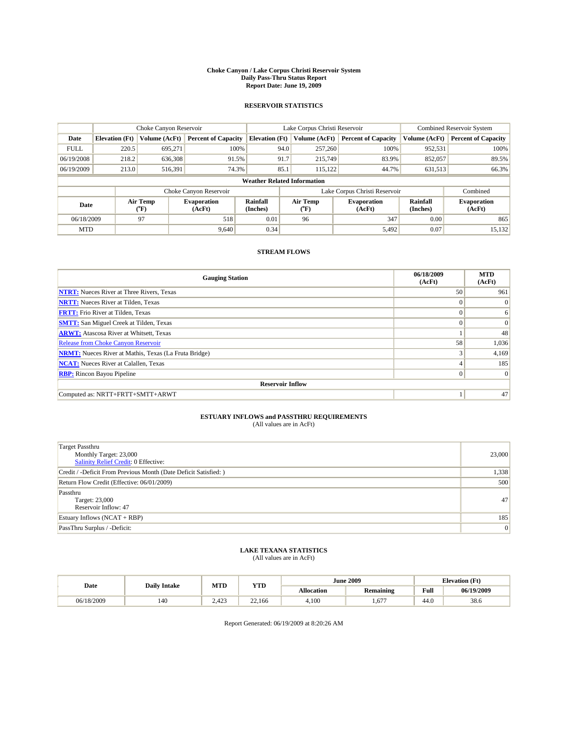#### **Choke Canyon / Lake Corpus Christi Reservoir System Daily Pass-Thru Status Report Report Date: June 19, 2009**

#### **RESERVOIR STATISTICS**

|             | Choke Canyon Reservoir             |                  |                              |                       | Lake Corpus Christi Reservoir | <b>Combined Reservoir System</b> |                      |                              |  |  |
|-------------|------------------------------------|------------------|------------------------------|-----------------------|-------------------------------|----------------------------------|----------------------|------------------------------|--|--|
| Date        | <b>Elevation</b> (Ft)              | Volume (AcFt)    | <b>Percent of Capacity</b>   | <b>Elevation</b> (Ft) | Volume (AcFt)                 | <b>Percent of Capacity</b>       | Volume (AcFt)        | <b>Percent of Capacity</b>   |  |  |
| <b>FULL</b> | 220.5                              | 695,271          | 100%                         | 94.0                  | 257,260                       | 100%                             | 952,531              | 100%                         |  |  |
| 06/19/2008  | 218.2                              | 636,308          | 91.5%                        | 91.7                  | 215,749                       | 83.9%                            | 852,057              | 89.5%                        |  |  |
| 06/19/2009  | 213.0                              | 516,391          | 74.3%                        | 85.1                  | 115,122                       | 44.7%                            | 631,513              | 66.3%                        |  |  |
|             | <b>Weather Related Information</b> |                  |                              |                       |                               |                                  |                      |                              |  |  |
|             |                                    |                  | Choke Canyon Reservoir       |                       |                               | Lake Corpus Christi Reservoir    |                      | Combined                     |  |  |
| Date        |                                    | Air Temp<br>(°F) | <b>Evaporation</b><br>(AcFt) | Rainfall<br>(Inches)  | Air Temp<br>("F)              | <b>Evaporation</b><br>(AcFt)     | Rainfall<br>(Inches) | <b>Evaporation</b><br>(AcFt) |  |  |
| 06/18/2009  |                                    | 97               | 518                          | 0.01                  | 96                            | 347                              | 0.00                 | 865                          |  |  |
| <b>MTD</b>  |                                    |                  | 9.640                        | 0.34                  |                               | 5,492                            | 0.07                 | 15,132                       |  |  |

### **STREAM FLOWS**

| <b>Gauging Station</b>                                       | 06/18/2009<br>(AcFt) | <b>MTD</b><br>(AcFt) |  |  |  |  |  |
|--------------------------------------------------------------|----------------------|----------------------|--|--|--|--|--|
| <b>NTRT:</b> Nueces River at Three Rivers, Texas             | 50                   | 961                  |  |  |  |  |  |
| <b>NRTT:</b> Nueces River at Tilden, Texas                   | $\theta$             | $\Omega$             |  |  |  |  |  |
| <b>FRTT:</b> Frio River at Tilden, Texas                     | $\theta$             | 6                    |  |  |  |  |  |
| <b>SMTT:</b> San Miguel Creek at Tilden, Texas               | $\theta$             | $\Omega$             |  |  |  |  |  |
| <b>ARWT:</b> Atascosa River at Whitsett, Texas               |                      | 48                   |  |  |  |  |  |
| Release from Choke Canyon Reservoir                          | 58                   | 1,036                |  |  |  |  |  |
| <b>NRMT:</b> Nueces River at Mathis, Texas (La Fruta Bridge) |                      | 4,169                |  |  |  |  |  |
| <b>NCAT:</b> Nueces River at Calallen, Texas                 |                      | 185                  |  |  |  |  |  |
| <b>RBP:</b> Rincon Bayou Pipeline                            | $\mathbf{0}$         | $\vert$ 0            |  |  |  |  |  |
| <b>Reservoir Inflow</b>                                      |                      |                      |  |  |  |  |  |
| Computed as: NRTT+FRTT+SMTT+ARWT                             |                      | 47                   |  |  |  |  |  |

# **ESTUARY INFLOWS and PASSTHRU REQUIREMENTS**<br>(All values are in AcFt)

| <b>Target Passthru</b><br>Monthly Target: 23,000<br>Salinity Relief Credit: 0 Effective: | 23,000 |
|------------------------------------------------------------------------------------------|--------|
| Credit / -Deficit From Previous Month (Date Deficit Satisfied: )                         | 1,338  |
| Return Flow Credit (Effective: 06/01/2009)                                               | 500    |
| Passthru<br>Target: 23,000<br>Reservoir Inflow: 47                                       | 47     |
| Estuary Inflows $(NCAT + RBP)$                                                           | 185    |
| PassThru Surplus / -Deficit:                                                             | 0      |

## **LAKE TEXANA STATISTICS** (All values are in AcFt)

| Date       | <b>Daily Intake</b>    | MTD                      | <b>YTD</b>       |                   | <b>June 2009</b> | <b>Elevation</b> (Ft) |            |
|------------|------------------------|--------------------------|------------------|-------------------|------------------|-----------------------|------------|
|            |                        |                          |                  | <b>Allocation</b> | <b>Remaining</b> | Full                  | 06/19/2009 |
| 06/18/2009 | $\overline{10}$<br>140 | 40 <sup>2</sup><br>2.423 | $\sim$<br>22.166 | 4.100             | 677              | 44.0                  | 38.6       |

Report Generated: 06/19/2009 at 8:20:26 AM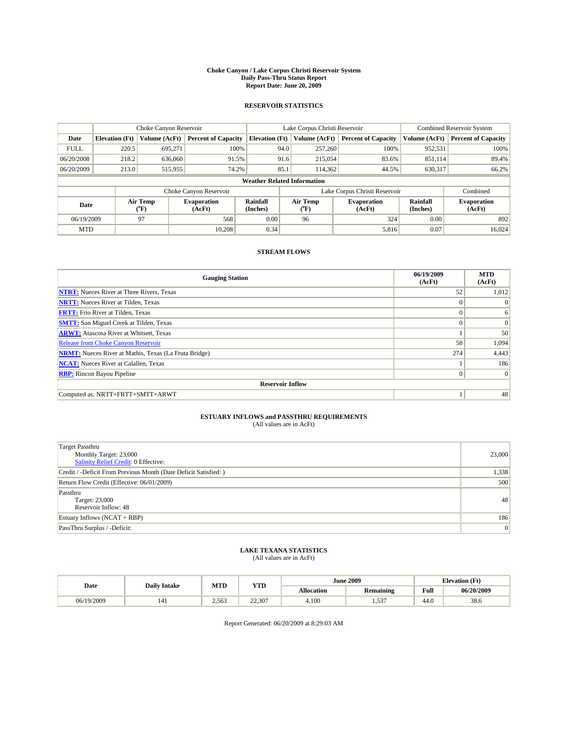#### **Choke Canyon / Lake Corpus Christi Reservoir System Daily Pass-Thru Status Report Report Date: June 20, 2009**

#### **RESERVOIR STATISTICS**

|              | Choke Canyon Reservoir             |               |                              |                       | Lake Corpus Christi Reservoir | <b>Combined Reservoir System</b> |                      |                              |  |  |
|--------------|------------------------------------|---------------|------------------------------|-----------------------|-------------------------------|----------------------------------|----------------------|------------------------------|--|--|
| Date         | <b>Elevation</b> (Ft)              | Volume (AcFt) | <b>Percent of Capacity</b>   | <b>Elevation</b> (Ft) | Volume (AcFt)                 | <b>Percent of Capacity</b>       | Volume (AcFt)        | <b>Percent of Capacity</b>   |  |  |
| <b>FULL</b>  | 220.5                              | 695,271       | 100%                         | 94.0                  | 257,260                       | 100%                             | 952,531              | 100%                         |  |  |
| 06/20/2008   | 218.2                              | 636,060       | 91.5%                        | 91.6                  | 215,054                       | 83.6%                            | 851,114              | 89.4%                        |  |  |
| 06/20/2009   | 213.0                              | 515,955       | 74.2%                        | 85.1                  | 114,362                       | 44.5%                            | 630,317              | 66.2%                        |  |  |
|              | <b>Weather Related Information</b> |               |                              |                       |                               |                                  |                      |                              |  |  |
|              |                                    |               | Choke Canyon Reservoir       |                       |                               | Lake Corpus Christi Reservoir    |                      | Combined                     |  |  |
| Date<br>(°F) |                                    | Air Temp      | <b>Evaporation</b><br>(AcFt) | Rainfall<br>(Inches)  | Air Temp<br>("F)              | <b>Evaporation</b><br>(AcFt)     | Rainfall<br>(Inches) | <b>Evaporation</b><br>(AcFt) |  |  |
| 06/19/2009   |                                    | 97            | 568                          | 0.00                  | 96                            | 324                              | 0.00                 | 892                          |  |  |
| <b>MTD</b>   |                                    |               | 10.208                       | 0.34                  |                               | 5,816                            | 0.07                 | 16.024                       |  |  |

### **STREAM FLOWS**

| <b>Gauging Station</b>                                       | 06/19/2009<br>(AcFt) | <b>MTD</b><br>(AcFt) |  |  |  |  |  |
|--------------------------------------------------------------|----------------------|----------------------|--|--|--|--|--|
| <b>NTRT:</b> Nueces River at Three Rivers, Texas             | 52                   | 1,012                |  |  |  |  |  |
| <b>NRTT:</b> Nueces River at Tilden, Texas                   | $\theta$             | $\Omega$             |  |  |  |  |  |
| <b>FRTT:</b> Frio River at Tilden, Texas                     | $\Omega$             | 6                    |  |  |  |  |  |
| <b>SMTT:</b> San Miguel Creek at Tilden, Texas               | $\theta$             | $\vert 0 \vert$      |  |  |  |  |  |
| <b>ARWT:</b> Atascosa River at Whitsett, Texas               |                      | 50                   |  |  |  |  |  |
| Release from Choke Canyon Reservoir                          | 58                   | 1,094                |  |  |  |  |  |
| <b>NRMT:</b> Nueces River at Mathis, Texas (La Fruta Bridge) | 274                  | 4,443                |  |  |  |  |  |
| <b>NCAT:</b> Nueces River at Calallen, Texas                 |                      | 186                  |  |  |  |  |  |
| <b>RBP:</b> Rincon Bayou Pipeline                            | $\mathbf{0}$         | $\vert$ 0            |  |  |  |  |  |
| <b>Reservoir Inflow</b>                                      |                      |                      |  |  |  |  |  |
| Computed as: NRTT+FRTT+SMTT+ARWT                             |                      | 48                   |  |  |  |  |  |

# **ESTUARY INFLOWS and PASSTHRU REQUIREMENTS**<br>(All values are in AcFt)

| <b>Target Passthru</b><br>Monthly Target: 23,000<br>Salinity Relief Credit: 0 Effective: | 23,000 |
|------------------------------------------------------------------------------------------|--------|
| Credit / -Deficit From Previous Month (Date Deficit Satisfied: )                         | 1,338  |
| Return Flow Credit (Effective: 06/01/2009)                                               | 500    |
| Passthru<br>Target: 23,000<br>Reservoir Inflow: 48                                       | 48     |
| Estuary Inflows $(NCAT + RBP)$                                                           | 186    |
| PassThru Surplus / -Deficit:                                                             | 0      |

## **LAKE TEXANA STATISTICS** (All values are in AcFt)

| Date       | <b>Daily Intake</b> | MTD   | <b>YTD</b> |                   | <b>June 2009</b> | <b>Elevation</b> (Ft) |            |
|------------|---------------------|-------|------------|-------------------|------------------|-----------------------|------------|
|            |                     |       |            | <b>Allocation</b> | <b>Remaining</b> | Full                  | 06/20/2009 |
| 06/19/2009 | 141                 | 2,563 | 22.307     | 4.100             | 527<br>ر ر.      | 44.0                  | 38.6       |

Report Generated: 06/20/2009 at 8:29:03 AM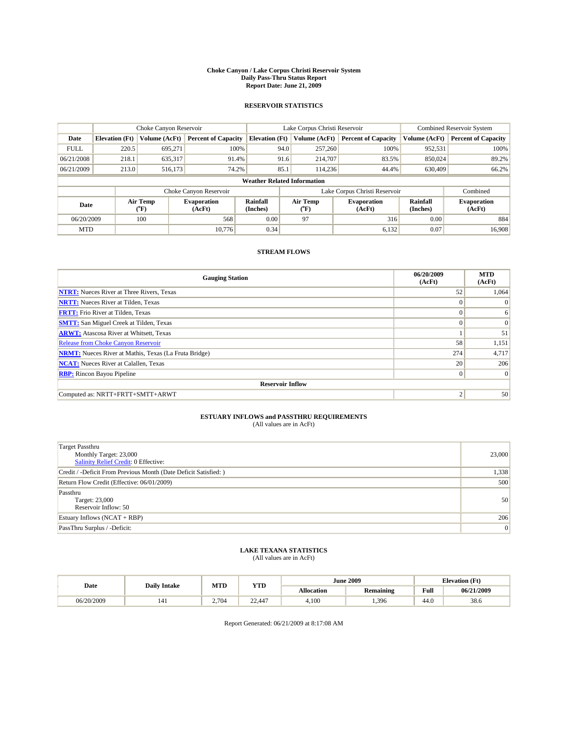#### **Choke Canyon / Lake Corpus Christi Reservoir System Daily Pass-Thru Status Report Report Date: June 21, 2009**

#### **RESERVOIR STATISTICS**

|                          | Choke Canyon Reservoir             |               |                              |                       | Lake Corpus Christi Reservoir | <b>Combined Reservoir System</b> |                      |                              |  |  |
|--------------------------|------------------------------------|---------------|------------------------------|-----------------------|-------------------------------|----------------------------------|----------------------|------------------------------|--|--|
| Date                     | <b>Elevation</b> (Ft)              | Volume (AcFt) | <b>Percent of Capacity</b>   | <b>Elevation</b> (Ft) | Volume (AcFt)                 | <b>Percent of Capacity</b>       | Volume (AcFt)        | <b>Percent of Capacity</b>   |  |  |
| <b>FULL</b>              | 220.5                              | 695,271       | 100%                         | 94.0                  | 257,260                       | 100%                             | 952,531              | 100%                         |  |  |
| 06/21/2008               | 218.1                              | 635,317       | 91.4%                        | 91.6                  | 214,707                       | 83.5%                            | 850,024              | 89.2%                        |  |  |
| 06/21/2009               | 213.0                              | 516,173       | 74.2%                        | 85.1                  | 114,236                       | 44.4%                            | 630,409              | 66.2%                        |  |  |
|                          | <b>Weather Related Information</b> |               |                              |                       |                               |                                  |                      |                              |  |  |
|                          |                                    |               | Choke Canyon Reservoir       |                       |                               | Lake Corpus Christi Reservoir    |                      | Combined                     |  |  |
| Air Temp<br>Date<br>(°F) |                                    |               | <b>Evaporation</b><br>(AcFt) | Rainfall<br>(Inches)  | Air Temp<br>("F)              | <b>Evaporation</b><br>(AcFt)     | Rainfall<br>(Inches) | <b>Evaporation</b><br>(AcFt) |  |  |
| 06/20/2009               |                                    | 100           | 568                          | 0.00                  | 97                            | 316                              | 0.00                 | 884                          |  |  |
| <b>MTD</b>               |                                    |               | 10.776                       | 0.34                  |                               | 6,132                            | 0.07                 | 16.908                       |  |  |

### **STREAM FLOWS**

| <b>Gauging Station</b>                                       | 06/20/2009<br>(AcFt) | <b>MTD</b><br>(AcFt) |  |  |  |  |  |
|--------------------------------------------------------------|----------------------|----------------------|--|--|--|--|--|
| <b>NTRT:</b> Nueces River at Three Rivers, Texas             | 52                   | 1,064                |  |  |  |  |  |
| <b>NRTT:</b> Nueces River at Tilden, Texas                   | $\Omega$             | $\Omega$             |  |  |  |  |  |
| <b>FRTT:</b> Frio River at Tilden, Texas                     | $\Omega$             | 6                    |  |  |  |  |  |
| <b>SMTT:</b> San Miguel Creek at Tilden, Texas               | $\Omega$             | $\Omega$             |  |  |  |  |  |
| <b>ARWT:</b> Atascosa River at Whitsett, Texas               |                      | 51                   |  |  |  |  |  |
| <b>Release from Choke Canyon Reservoir</b>                   | 58                   | 1,151                |  |  |  |  |  |
| <b>NRMT:</b> Nueces River at Mathis, Texas (La Fruta Bridge) | 274                  | 4,717                |  |  |  |  |  |
| <b>NCAT:</b> Nueces River at Calallen, Texas                 | 20                   | 206                  |  |  |  |  |  |
| <b>RBP:</b> Rincon Bayou Pipeline                            | $\overline{0}$       | $\Omega$             |  |  |  |  |  |
| <b>Reservoir Inflow</b>                                      |                      |                      |  |  |  |  |  |
| Computed as: NRTT+FRTT+SMTT+ARWT                             | 2                    | 50                   |  |  |  |  |  |

# **ESTUARY INFLOWS and PASSTHRU REQUIREMENTS**<br>(All values are in AcFt)

| <b>Target Passthru</b><br>Monthly Target: 23,000<br>Salinity Relief Credit: 0 Effective: | 23,000 |
|------------------------------------------------------------------------------------------|--------|
| Credit / -Deficit From Previous Month (Date Deficit Satisfied: )                         | 1,338  |
| Return Flow Credit (Effective: 06/01/2009)                                               | 500    |
| Passthru<br>Target: 23,000<br>Reservoir Inflow: 50                                       | 50     |
| Estuary Inflows $(NCAT + RBP)$                                                           | 206    |
| PassThru Surplus / -Deficit:                                                             | 0      |

# **LAKE TEXANA STATISTICS** (All values are in AcFt)

|            | <b>Daily Intake</b> | MTD   | <b>YTD</b> |            | <b>June 2009</b> | <b>Elevation</b> (Ft)                       |            |
|------------|---------------------|-------|------------|------------|------------------|---------------------------------------------|------------|
| Date       |                     |       |            | Allocation | <b>Remaining</b> | Full<br>the contract of the contract of the | 06/21/2009 |
| 06/20/2009 | 141                 | 2.704 | 22,447     | 4.100      | .396             | 44.0                                        | 38.6       |

Report Generated: 06/21/2009 at 8:17:08 AM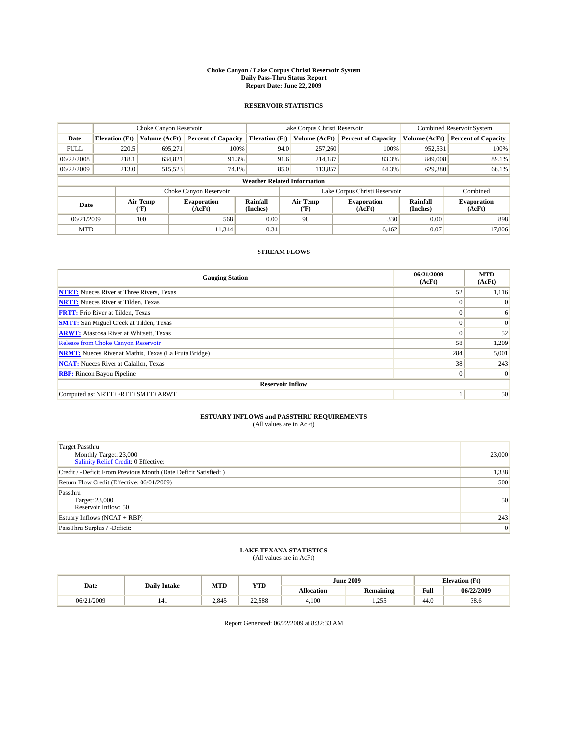#### **Choke Canyon / Lake Corpus Christi Reservoir System Daily Pass-Thru Status Report Report Date: June 22, 2009**

#### **RESERVOIR STATISTICS**

|             |                                    | Choke Canyon Reservoir |                              |                       | Lake Corpus Christi Reservoir | <b>Combined Reservoir System</b> |                      |                              |  |  |
|-------------|------------------------------------|------------------------|------------------------------|-----------------------|-------------------------------|----------------------------------|----------------------|------------------------------|--|--|
| Date        | <b>Elevation</b> (Ft)              | Volume (AcFt)          | <b>Percent of Capacity</b>   | <b>Elevation</b> (Ft) | Volume (AcFt)                 | <b>Percent of Capacity</b>       | Volume (AcFt)        | <b>Percent of Capacity</b>   |  |  |
| <b>FULL</b> | 220.5                              | 695,271                | 100%                         | 94.0                  | 257,260                       | 100%                             | 952,531              | 100%                         |  |  |
| 06/22/2008  | 218.1                              | 634,821                | 91.3%                        |                       | 91.6<br>214,187               | 83.3%                            | 849,008              | 89.1%                        |  |  |
| 06/22/2009  | 213.0                              | 515,523                | 74.1%                        | 85.0                  | 113,857                       | 44.3%                            | 629,380              | 66.1%                        |  |  |
|             | <b>Weather Related Information</b> |                        |                              |                       |                               |                                  |                      |                              |  |  |
|             |                                    |                        | Choke Canyon Reservoir       |                       |                               | Lake Corpus Christi Reservoir    |                      | Combined                     |  |  |
| Date        |                                    | Air Temp<br>(°F)       | <b>Evaporation</b><br>(AcFt) | Rainfall<br>(Inches)  | Air Temp<br>("F)              | <b>Evaporation</b><br>(AcFt)     | Rainfall<br>(Inches) | <b>Evaporation</b><br>(AcFt) |  |  |
| 06/21/2009  |                                    | 100                    | 568                          | 0.00                  | 98                            | 330                              | 0.00                 | 898                          |  |  |
| <b>MTD</b>  |                                    |                        | 11.344                       | 0.34                  |                               | 6,462                            | 0.07                 | 17,806                       |  |  |

### **STREAM FLOWS**

| <b>Gauging Station</b>                                       | 06/21/2009<br>(AcFt) | <b>MTD</b><br>(AcFt) |  |  |  |  |  |
|--------------------------------------------------------------|----------------------|----------------------|--|--|--|--|--|
| <b>NTRT:</b> Nueces River at Three Rivers, Texas             | 52                   | 1,116                |  |  |  |  |  |
| <b>NRTT:</b> Nueces River at Tilden, Texas                   | $\Omega$             | $\Omega$             |  |  |  |  |  |
| <b>FRTT:</b> Frio River at Tilden, Texas                     | $\Omega$             | 6                    |  |  |  |  |  |
| <b>SMTT:</b> San Miguel Creek at Tilden, Texas               | $\theta$             | $\vert 0 \vert$      |  |  |  |  |  |
| <b>ARWT:</b> Atascosa River at Whitsett, Texas               | $\theta$             | 52                   |  |  |  |  |  |
| <b>Release from Choke Canyon Reservoir</b>                   | 58                   | 1,209                |  |  |  |  |  |
| <b>NRMT:</b> Nueces River at Mathis, Texas (La Fruta Bridge) | 284                  | 5,001                |  |  |  |  |  |
| <b>NCAT:</b> Nueces River at Calallen, Texas                 | 38                   | 243                  |  |  |  |  |  |
| <b>RBP:</b> Rincon Bayou Pipeline                            | $\mathbf{0}$         | $\Omega$             |  |  |  |  |  |
| <b>Reservoir Inflow</b>                                      |                      |                      |  |  |  |  |  |
| Computed as: NRTT+FRTT+SMTT+ARWT                             |                      | 50                   |  |  |  |  |  |

# **ESTUARY INFLOWS and PASSTHRU REQUIREMENTS**<br>(All values are in AcFt)

| <b>Target Passthru</b><br>Monthly Target: 23,000<br>Salinity Relief Credit: 0 Effective: | 23,000 |
|------------------------------------------------------------------------------------------|--------|
| Credit / -Deficit From Previous Month (Date Deficit Satisfied: )                         | 1,338  |
| Return Flow Credit (Effective: 06/01/2009)                                               | 500    |
| Passthru<br>Target: 23,000<br>Reservoir Inflow: 50                                       | 50     |
| Estuary Inflows $(NCAT + RBP)$                                                           | 243    |
| PassThru Surplus / -Deficit:                                                             | 0      |

## **LAKE TEXANA STATISTICS** (All values are in AcFt)

| Date            | <b>Daily Intake</b> | MTD   | <b>YTD</b> |                   | <b>June 2009</b> | <b>Elevation</b> (Ft) |            |
|-----------------|---------------------|-------|------------|-------------------|------------------|-----------------------|------------|
|                 |                     |       |            | <b>Allocation</b> | <b>Remaining</b> | Full                  | 06/22/2009 |
| /2009<br>06/21/ | 141                 | 2.845 | 22.588     | 4.100             | 255<br>ر رے د    | 44.0                  | 38.6       |

Report Generated: 06/22/2009 at 8:32:33 AM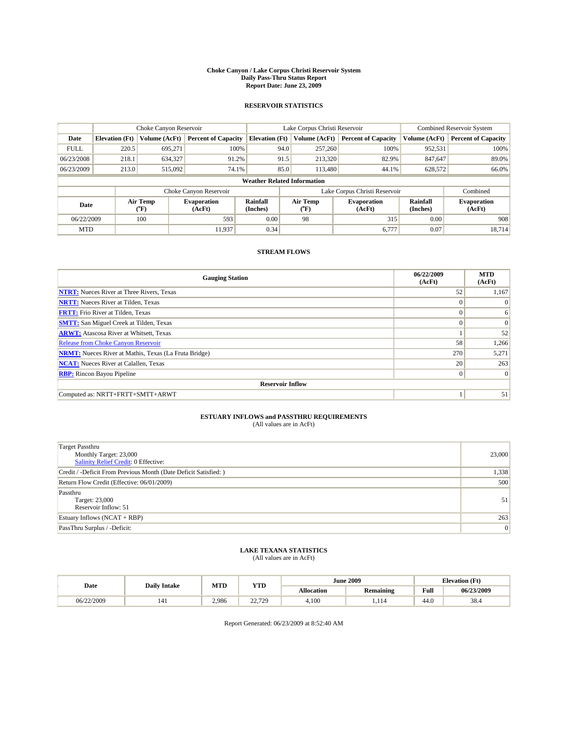#### **Choke Canyon / Lake Corpus Christi Reservoir System Daily Pass-Thru Status Report Report Date: June 23, 2009**

#### **RESERVOIR STATISTICS**

|             | Choke Canyon Reservoir             |                  |                              |                       | Lake Corpus Christi Reservoir | Combined Reservoir System     |                      |                              |  |
|-------------|------------------------------------|------------------|------------------------------|-----------------------|-------------------------------|-------------------------------|----------------------|------------------------------|--|
| Date        | <b>Elevation</b> (Ft)              | Volume (AcFt)    | <b>Percent of Capacity</b>   | <b>Elevation</b> (Ft) | Volume (AcFt)                 | <b>Percent of Capacity</b>    | Volume (AcFt)        | <b>Percent of Capacity</b>   |  |
| <b>FULL</b> | 220.5                              | 695,271          | 100%                         |                       | 257,260<br>94.0               | 100%                          | 952,531              | 100%                         |  |
| 06/23/2008  | 218.1                              | 634,327          | 91.2%                        |                       | 91.5<br>213,320               | 82.9%                         | 847,647              | 89.0%                        |  |
| 06/23/2009  | 213.0                              | 515,092          | 74.1%                        |                       | 85.0<br>113.480               | 44.1%                         | 628,572              | 66.0%                        |  |
|             | <b>Weather Related Information</b> |                  |                              |                       |                               |                               |                      |                              |  |
|             |                                    |                  | Choke Canyon Reservoir       |                       |                               | Lake Corpus Christi Reservoir |                      | Combined                     |  |
| Date        |                                    | Air Temp<br>(°F) | <b>Evaporation</b><br>(AcFt) | Rainfall<br>(Inches)  | Air Temp<br>("F)              | <b>Evaporation</b><br>(AcFt)  | Rainfall<br>(Inches) | <b>Evaporation</b><br>(AcFt) |  |
| 06/22/2009  |                                    | 100              | 593                          | 0.00                  | 98                            | 315                           | 0.00                 | 908                          |  |
| <b>MTD</b>  |                                    |                  | 11.937                       | 0.34                  |                               | 6,777                         | 0.07                 | 18.714                       |  |

### **STREAM FLOWS**

| <b>Gauging Station</b>                                       | 06/22/2009<br>(AcFt) | <b>MTD</b><br>(AcFt) |  |  |  |  |  |
|--------------------------------------------------------------|----------------------|----------------------|--|--|--|--|--|
| <b>NTRT:</b> Nueces River at Three Rivers, Texas             | 52                   | 1,167                |  |  |  |  |  |
| <b>NRTT:</b> Nueces River at Tilden, Texas                   | $\theta$             | $\Omega$             |  |  |  |  |  |
| <b>FRTT:</b> Frio River at Tilden, Texas                     | $\theta$             | 6                    |  |  |  |  |  |
| <b>SMTT:</b> San Miguel Creek at Tilden, Texas               | $\Omega$             | $\Omega$             |  |  |  |  |  |
| <b>ARWT:</b> Atascosa River at Whitsett, Texas               |                      | 52                   |  |  |  |  |  |
| Release from Choke Canyon Reservoir                          | 58                   | 1,266                |  |  |  |  |  |
| <b>NRMT:</b> Nueces River at Mathis, Texas (La Fruta Bridge) | 270                  | 5,271                |  |  |  |  |  |
| <b>NCAT:</b> Nueces River at Calallen, Texas                 | 20                   | 263                  |  |  |  |  |  |
| <b>RBP:</b> Rincon Bayou Pipeline                            | $\mathbf{0}$         | $\vert$ 0            |  |  |  |  |  |
| <b>Reservoir Inflow</b>                                      |                      |                      |  |  |  |  |  |
| Computed as: NRTT+FRTT+SMTT+ARWT                             |                      | 51                   |  |  |  |  |  |

# **ESTUARY INFLOWS and PASSTHRU REQUIREMENTS**<br>(All values are in AcFt)

| <b>Target Passthru</b><br>Monthly Target: 23,000<br>Salinity Relief Credit: 0 Effective: | 23,000 |
|------------------------------------------------------------------------------------------|--------|
| Credit / -Deficit From Previous Month (Date Deficit Satisfied: )                         | 1,338  |
| Return Flow Credit (Effective: 06/01/2009)                                               | 500    |
| Passthru<br>Target: 23,000<br>Reservoir Inflow: 51                                       | 51     |
| Estuary Inflows $(NCAT + RBP)$                                                           | 263    |
| PassThru Surplus / -Deficit:                                                             | 0      |

## **LAKE TEXANA STATISTICS** (All values are in AcFt)

| Date       | <b>Daily Intake</b> | MTD   | YTD                            |                   | <b>June 2009</b> | <b>Elevation</b> (Ft) |            |
|------------|---------------------|-------|--------------------------------|-------------------|------------------|-----------------------|------------|
|            |                     |       |                                | <b>Allocation</b> | <b>Remaining</b> | Full                  | 06/23/2009 |
| 06/22/2009 | 141                 | 2.986 | $\sim$<br>720<br><u>.</u><br>. | 4.100             | .                | 44.0                  | 38.4       |

Report Generated: 06/23/2009 at 8:52:40 AM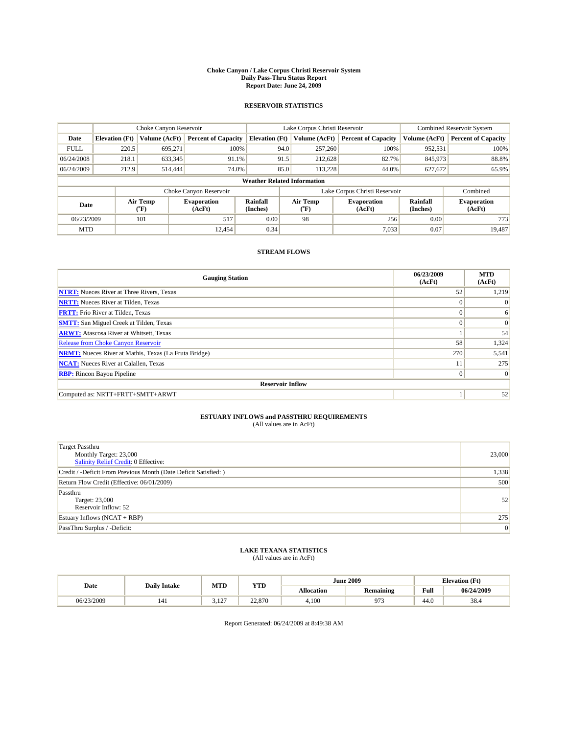#### **Choke Canyon / Lake Corpus Christi Reservoir System Daily Pass-Thru Status Report Report Date: June 24, 2009**

#### **RESERVOIR STATISTICS**

|             |                                    | Choke Canyon Reservoir |                              |                       | Lake Corpus Christi Reservoir | <b>Combined Reservoir System</b> |                      |                              |  |
|-------------|------------------------------------|------------------------|------------------------------|-----------------------|-------------------------------|----------------------------------|----------------------|------------------------------|--|
| Date        | <b>Elevation</b> (Ft)              | Volume (AcFt)          | <b>Percent of Capacity</b>   | <b>Elevation (Ft)</b> | Volume (AcFt)                 | <b>Percent of Capacity</b>       | Volume (AcFt)        | <b>Percent of Capacity</b>   |  |
| <b>FULL</b> | 220.5                              | 695,271                | 100%                         | 94.0                  | 257,260                       | 100%                             | 952,531              | 100%                         |  |
| 06/24/2008  | 218.1                              | 633,345                | 91.1%                        | 91.5                  | 212,628                       | 82.7%                            | 845,973              | 88.8%                        |  |
| 06/24/2009  | 212.9                              | 514,444                | 74.0%                        | 85.0                  | 113.228                       | 44.0%                            | 627,672              | 65.9%                        |  |
|             | <b>Weather Related Information</b> |                        |                              |                       |                               |                                  |                      |                              |  |
|             |                                    |                        | Choke Canyon Reservoir       |                       | Lake Corpus Christi Reservoir |                                  | Combined             |                              |  |
| Date        |                                    | Air Temp<br>(°F)       | <b>Evaporation</b><br>(AcFt) | Rainfall<br>(Inches)  | Air Temp<br>("F)              | <b>Evaporation</b><br>(AcFt)     | Rainfall<br>(Inches) | <b>Evaporation</b><br>(AcFt) |  |
| 06/23/2009  |                                    | 101                    | 517                          | 0.00                  | 98                            | 256                              | 0.00                 | 773                          |  |
| <b>MTD</b>  |                                    |                        | 12.454                       | 0.34                  |                               | 7,033                            | 0.07                 | 19.487                       |  |

### **STREAM FLOWS**

| <b>Gauging Station</b>                                       | 06/23/2009<br>(AcFt) | <b>MTD</b><br>(AcFt) |  |  |  |  |  |
|--------------------------------------------------------------|----------------------|----------------------|--|--|--|--|--|
| <b>NTRT:</b> Nueces River at Three Rivers, Texas             | 52                   | 1,219                |  |  |  |  |  |
| <b>NRTT:</b> Nueces River at Tilden, Texas                   | $\Omega$             | $\Omega$             |  |  |  |  |  |
| <b>FRTT:</b> Frio River at Tilden, Texas                     | $\Omega$             | 6                    |  |  |  |  |  |
| <b>SMTT:</b> San Miguel Creek at Tilden, Texas               | $\theta$             | $\vert 0 \vert$      |  |  |  |  |  |
| <b>ARWT:</b> Atascosa River at Whitsett, Texas               |                      | 54                   |  |  |  |  |  |
| <b>Release from Choke Canyon Reservoir</b>                   | 58                   | 1,324                |  |  |  |  |  |
| <b>NRMT:</b> Nueces River at Mathis, Texas (La Fruta Bridge) | 270                  | 5,541                |  |  |  |  |  |
| <b>NCAT:</b> Nueces River at Calallen, Texas                 | 11                   | 275                  |  |  |  |  |  |
| <b>RBP:</b> Rincon Bayou Pipeline                            | $\mathbf{0}$         | $\vert$ 0            |  |  |  |  |  |
| <b>Reservoir Inflow</b>                                      |                      |                      |  |  |  |  |  |
| Computed as: NRTT+FRTT+SMTT+ARWT                             |                      | 52                   |  |  |  |  |  |

# **ESTUARY INFLOWS and PASSTHRU REQUIREMENTS**<br>(All values are in AcFt)

| <b>Target Passthru</b><br>Monthly Target: 23,000<br>Salinity Relief Credit: 0 Effective: | 23,000 |
|------------------------------------------------------------------------------------------|--------|
| Credit / -Deficit From Previous Month (Date Deficit Satisfied: )                         | 1,338  |
| Return Flow Credit (Effective: 06/01/2009)                                               | 500    |
| Passthru<br>Target: 23,000<br>Reservoir Inflow: 52                                       | 52     |
| Estuary Inflows $(NCAT + RBP)$                                                           | 275    |
| PassThru Surplus / -Deficit:                                                             | 0      |

## **LAKE TEXANA STATISTICS** (All values are in AcFt)

| Date       | <b>Daily Intake</b> | MTD         | <b>YTD</b> |                   | <b>June 2009</b> | <b>Elevation</b> (Ft) |            |
|------------|---------------------|-------------|------------|-------------------|------------------|-----------------------|------------|
|            |                     |             |            | <b>Allocation</b> | <b>Remaining</b> | Full                  | 06/24/2009 |
| 06/23/2009 | 141                 | 102<br>J.IL | 22,870     | 4.100             | 07c<br>נ ו       | 44.0                  | 38.4       |

Report Generated: 06/24/2009 at 8:49:38 AM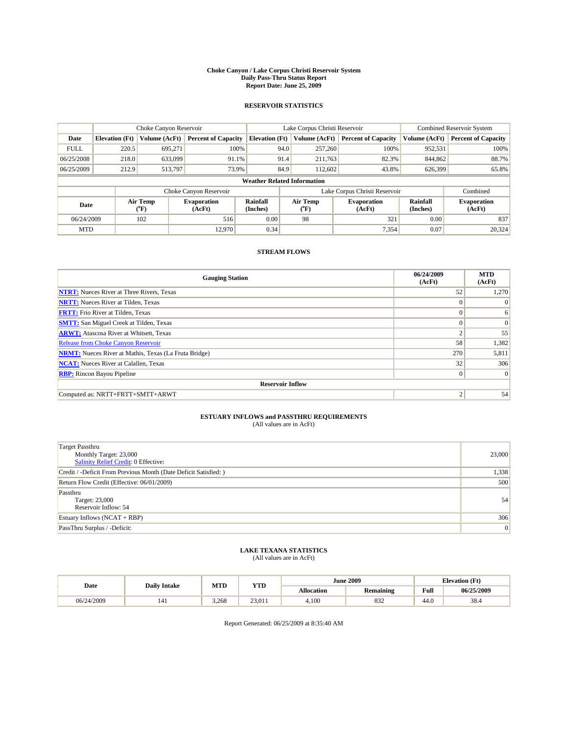#### **Choke Canyon / Lake Corpus Christi Reservoir System Daily Pass-Thru Status Report Report Date: June 25, 2009**

#### **RESERVOIR STATISTICS**

|             |                                    | Choke Canyon Reservoir |                              |                             | Lake Corpus Christi Reservoir | <b>Combined Reservoir System</b> |                      |                              |  |
|-------------|------------------------------------|------------------------|------------------------------|-----------------------------|-------------------------------|----------------------------------|----------------------|------------------------------|--|
| Date        | <b>Elevation</b> (Ft)              | Volume (AcFt)          | <b>Percent of Capacity</b>   | <b>Elevation (Ft)</b>       | Volume (AcFt)                 | <b>Percent of Capacity</b>       | Volume (AcFt)        | <b>Percent of Capacity</b>   |  |
| <b>FULL</b> | 220.5                              | 695,271                | 100%                         | 94.0                        | 257,260                       | 100%                             | 952,531              | 100%                         |  |
| 06/25/2008  | 218.0                              | 633,099                | 91.1%                        | 91.4                        | 211,763                       | 82.3%                            | 844,862              | 88.7%                        |  |
| 06/25/2009  | 212.9                              | 513,797                | 73.9%                        | 84.9                        | 112,602                       | 43.8%                            | 626,399              | 65.8%                        |  |
|             | <b>Weather Related Information</b> |                        |                              |                             |                               |                                  |                      |                              |  |
|             |                                    |                        | Choke Canyon Reservoir       |                             | Lake Corpus Christi Reservoir |                                  |                      | Combined                     |  |
| Date        |                                    | Air Temp<br>(°F)       | <b>Evaporation</b><br>(AcFt) | <b>Rainfall</b><br>(Inches) | Air Temp<br>(°F)              | <b>Evaporation</b><br>(AcFt)     | Rainfall<br>(Inches) | <b>Evaporation</b><br>(AcFt) |  |
| 06/24/2009  |                                    | 102                    | 516                          | 0.00                        | 98                            | 321                              | 0.00                 | 837                          |  |
| <b>MTD</b>  |                                    |                        | 12.970                       | 0.34                        |                               | 7,354                            | 0.07                 | 20.324                       |  |

### **STREAM FLOWS**

| <b>Gauging Station</b>                                       | 06/24/2009<br>(AcFt) | <b>MTD</b><br>(AcFt) |  |  |  |  |  |
|--------------------------------------------------------------|----------------------|----------------------|--|--|--|--|--|
| <b>NTRT:</b> Nueces River at Three Rivers, Texas             | 52                   | 1,270                |  |  |  |  |  |
| <b>NRTT:</b> Nueces River at Tilden, Texas                   | $\Omega$             | $\Omega$             |  |  |  |  |  |
| <b>FRTT:</b> Frio River at Tilden, Texas                     | $\Omega$             | 6                    |  |  |  |  |  |
| <b>SMTT:</b> San Miguel Creek at Tilden, Texas               | $\Omega$             | $\Omega$             |  |  |  |  |  |
| <b>ARWT:</b> Atascosa River at Whitsett, Texas               | $\overline{c}$       | 55                   |  |  |  |  |  |
| <b>Release from Choke Canyon Reservoir</b>                   | 58                   | 1,382                |  |  |  |  |  |
| <b>NRMT:</b> Nueces River at Mathis, Texas (La Fruta Bridge) | 270                  | 5,811                |  |  |  |  |  |
| <b>NCAT:</b> Nueces River at Calallen, Texas                 | 32                   | 306                  |  |  |  |  |  |
| <b>RBP:</b> Rincon Bayou Pipeline                            | $\overline{0}$       | $\Omega$             |  |  |  |  |  |
| <b>Reservoir Inflow</b>                                      |                      |                      |  |  |  |  |  |
| Computed as: NRTT+FRTT+SMTT+ARWT                             | 2                    | 54                   |  |  |  |  |  |

# **ESTUARY INFLOWS and PASSTHRU REQUIREMENTS**<br>(All values are in AcFt)

| Target Passthru<br>Monthly Target: 23,000<br>Salinity Relief Credit: 0 Effective: | 23,000 |
|-----------------------------------------------------------------------------------|--------|
| Credit / -Deficit From Previous Month (Date Deficit Satisfied: )                  | 1,338  |
| Return Flow Credit (Effective: 06/01/2009)                                        | 500    |
| Passthru<br>Target: 23,000<br>Reservoir Inflow: 54                                | 54     |
| Estuary Inflows $(NCAT + RBP)$                                                    | 306    |
| PassThru Surplus / -Deficit:                                                      | 0      |

# **LAKE TEXANA STATISTICS** (All values are in AcFt)

|            | <b>Daily Intake</b> | MTD   | <b>YTD</b> |                   | <b>June 2009</b> | <b>Elevation</b> (Ft)                       |            |
|------------|---------------------|-------|------------|-------------------|------------------|---------------------------------------------|------------|
| Date       |                     |       |            | <b>Allocation</b> | <b>Remaining</b> | Full<br>the contract of the contract of the | 06/25/2009 |
| 06/24/2009 | 141                 | 3.268 | 23.011     | 4.100             | 832              | 44.0                                        | 38.4       |

Report Generated: 06/25/2009 at 8:35:40 AM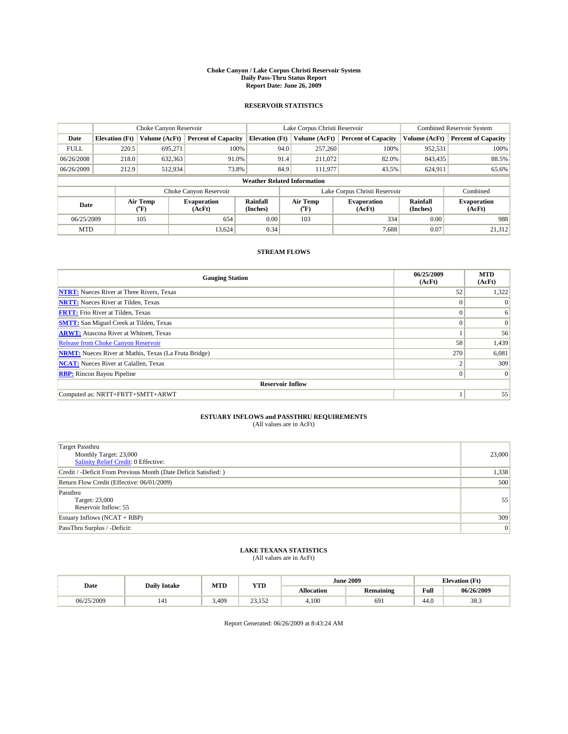#### **Choke Canyon / Lake Corpus Christi Reservoir System Daily Pass-Thru Status Report Report Date: June 26, 2009**

#### **RESERVOIR STATISTICS**

|             | Choke Canyon Reservoir             |                                           |                              |                             | Lake Corpus Christi Reservoir             | <b>Combined Reservoir System</b> |                             |                              |  |
|-------------|------------------------------------|-------------------------------------------|------------------------------|-----------------------------|-------------------------------------------|----------------------------------|-----------------------------|------------------------------|--|
| Date        | <b>Elevation</b> (Ft)              | Volume (AcFt)                             | <b>Percent of Capacity</b>   | <b>Elevation</b> (Ft)       | Volume (AcFt)                             | <b>Percent of Capacity</b>       | Volume (AcFt)               | <b>Percent of Capacity</b>   |  |
| <b>FULL</b> | 220.5                              | 695,271                                   | 100%                         | 94.0                        | 257,260                                   | 100%                             | 952,531                     | 100%                         |  |
| 06/26/2008  | 218.0                              | 632,363                                   | 91.0%                        | 91.4                        | 211,072                                   | 82.0%                            | 843,435                     | 88.5%                        |  |
| 06/26/2009  | 212.9                              | 512,934                                   | 73.8%                        | 84.9                        | 111,977                                   | 43.5%                            | 624,911                     | 65.6%                        |  |
|             | <b>Weather Related Information</b> |                                           |                              |                             |                                           |                                  |                             |                              |  |
|             |                                    |                                           | Choke Canyon Reservoir       |                             |                                           | Lake Corpus Christi Reservoir    |                             | Combined                     |  |
| Date        |                                    | Air Temp<br>$({}^{\mathrm{o}}\mathrm{F})$ | <b>Evaporation</b><br>(AcFt) | <b>Rainfall</b><br>(Inches) | Air Temp<br>$({}^{\mathrm{o}}\mathrm{F})$ | <b>Evaporation</b><br>(AcFt)     | <b>Rainfall</b><br>(Inches) | <b>Evaporation</b><br>(AcFt) |  |
| 06/25/2009  |                                    | 105                                       | 654                          | 0.00                        | 103                                       | 334                              | 0.00                        | 988                          |  |
| <b>MTD</b>  |                                    |                                           | 13.624                       | 0.34                        |                                           | 7,688                            | 0.07                        | 21,312                       |  |

### **STREAM FLOWS**

| <b>Gauging Station</b>                                       | 06/25/2009<br>(AcFt) | <b>MTD</b><br>(AcFt) |  |  |  |  |  |
|--------------------------------------------------------------|----------------------|----------------------|--|--|--|--|--|
| <b>NTRT:</b> Nueces River at Three Rivers, Texas             | 52                   | 1,322                |  |  |  |  |  |
| <b>NRTT:</b> Nueces River at Tilden, Texas                   | $\Omega$             | $\Omega$             |  |  |  |  |  |
| <b>FRTT:</b> Frio River at Tilden, Texas                     | $\Omega$             | 6                    |  |  |  |  |  |
| <b>SMTT:</b> San Miguel Creek at Tilden, Texas               | $\Omega$             | $\Omega$             |  |  |  |  |  |
| <b>ARWT:</b> Atascosa River at Whitsett, Texas               |                      | 56                   |  |  |  |  |  |
| <b>Release from Choke Canyon Reservoir</b>                   | 58                   | 1,439                |  |  |  |  |  |
| <b>NRMT:</b> Nueces River at Mathis, Texas (La Fruta Bridge) | 270                  | 6,081                |  |  |  |  |  |
| <b>NCAT:</b> Nueces River at Calallen, Texas                 | ◠                    | 309                  |  |  |  |  |  |
| <b>RBP:</b> Rincon Bayou Pipeline                            | $\vert 0 \vert$      | $\Omega$             |  |  |  |  |  |
| <b>Reservoir Inflow</b>                                      |                      |                      |  |  |  |  |  |
| Computed as: NRTT+FRTT+SMTT+ARWT                             |                      | 55                   |  |  |  |  |  |

# **ESTUARY INFLOWS and PASSTHRU REQUIREMENTS**<br>(All values are in AcFt)

| Target Passthru<br>Monthly Target: 23,000<br>Salinity Relief Credit: 0 Effective: | 23,000 |
|-----------------------------------------------------------------------------------|--------|
| Credit / -Deficit From Previous Month (Date Deficit Satisfied: )                  | 1,338  |
| Return Flow Credit (Effective: 06/01/2009)                                        | 500    |
| Passthru<br>Target: 23,000<br>Reservoir Inflow: 55                                | 55     |
| Estuary Inflows $(NCAT + RBP)$                                                    | 309    |
| PassThru Surplus / -Deficit:                                                      | 0      |

# **LAKE TEXANA STATISTICS** (All values are in AcFt)

|            | <b>Daily Intake</b> | MTD   | <b>YTD</b>                |                   | <b>June 2009</b> | <b>Elevation</b> (Ft)                       |            |
|------------|---------------------|-------|---------------------------|-------------------|------------------|---------------------------------------------|------------|
| Date       |                     |       |                           | <b>Allocation</b> | <b>Remaining</b> | Full<br>the contract of the contract of the | 06/26/2009 |
| 06/25/2009 | 141                 | 3.409 | $\sim$<br>152<br>ے روز دے | 4.100             | 691              | 44.0                                        | 38.3       |

Report Generated: 06/26/2009 at 8:43:24 AM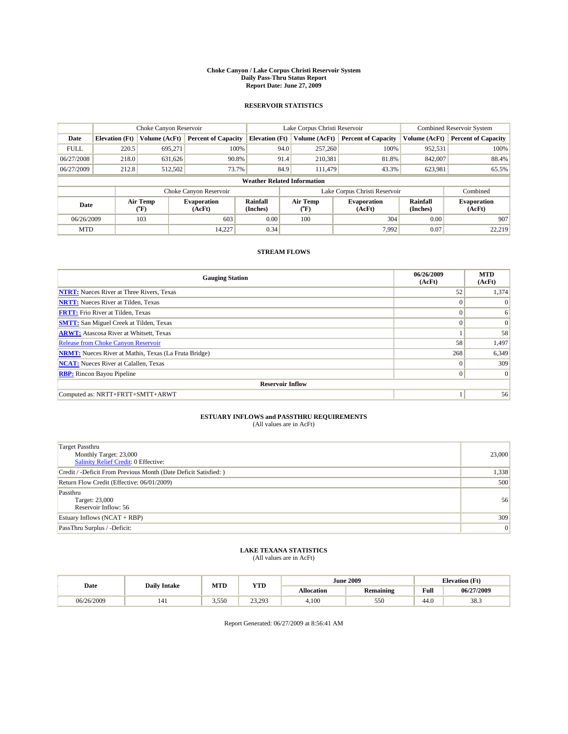#### **Choke Canyon / Lake Corpus Christi Reservoir System Daily Pass-Thru Status Report Report Date: June 27, 2009**

#### **RESERVOIR STATISTICS**

|             | Choke Canyon Reservoir             |                                           |                              |                             | Lake Corpus Christi Reservoir             | <b>Combined Reservoir System</b> |                             |                              |  |
|-------------|------------------------------------|-------------------------------------------|------------------------------|-----------------------------|-------------------------------------------|----------------------------------|-----------------------------|------------------------------|--|
| Date        | <b>Elevation</b> (Ft)              | Volume (AcFt)                             | <b>Percent of Capacity</b>   | <b>Elevation</b> (Ft)       | Volume (AcFt)                             | <b>Percent of Capacity</b>       | Volume (AcFt)               | <b>Percent of Capacity</b>   |  |
| <b>FULL</b> | 220.5                              | 695,271                                   | 100%                         | 94.0                        | 257,260                                   | 100%                             | 952,531                     | 100%                         |  |
| 06/27/2008  | 218.0                              | 631,626                                   | 90.8%                        | 91.4                        | 210,381                                   | 81.8%                            | 842,007                     | 88.4%                        |  |
| 06/27/2009  | 212.8                              | 512,502                                   | 73.7%                        | 84.9                        | 111.479                                   | 43.3%                            | 623,981                     | 65.5%                        |  |
|             | <b>Weather Related Information</b> |                                           |                              |                             |                                           |                                  |                             |                              |  |
|             |                                    |                                           | Choke Canyon Reservoir       |                             |                                           | Lake Corpus Christi Reservoir    |                             | Combined                     |  |
| Date        |                                    | Air Temp<br>$({}^{\mathrm{o}}\mathrm{F})$ | <b>Evaporation</b><br>(AcFt) | <b>Rainfall</b><br>(Inches) | Air Temp<br>$({}^{\mathrm{o}}\mathrm{F})$ | <b>Evaporation</b><br>(AcFt)     | <b>Rainfall</b><br>(Inches) | <b>Evaporation</b><br>(AcFt) |  |
| 06/26/2009  |                                    | 103                                       | 603                          | 0.00                        | 100                                       | 304                              | 0.00                        | 907                          |  |
| <b>MTD</b>  |                                    |                                           | 14,227                       | 0.34                        |                                           | 7,992                            | 0.07                        | 22.219                       |  |

### **STREAM FLOWS**

| <b>Gauging Station</b>                                       | 06/26/2009<br>(AcFt) | <b>MTD</b><br>(AcFt) |  |  |  |  |  |
|--------------------------------------------------------------|----------------------|----------------------|--|--|--|--|--|
| <b>NTRT:</b> Nueces River at Three Rivers, Texas             | 52                   | 1,374                |  |  |  |  |  |
| <b>NRTT:</b> Nueces River at Tilden, Texas                   | $\theta$             | $\Omega$             |  |  |  |  |  |
| <b>FRTT:</b> Frio River at Tilden, Texas                     | $\theta$             | 6                    |  |  |  |  |  |
| <b>SMTT:</b> San Miguel Creek at Tilden, Texas               | $\theta$             | $\Omega$             |  |  |  |  |  |
| <b>ARWT:</b> Atascosa River at Whitsett, Texas               |                      | 58                   |  |  |  |  |  |
| Release from Choke Canyon Reservoir                          | 58                   | 1,497                |  |  |  |  |  |
| <b>NRMT:</b> Nueces River at Mathis, Texas (La Fruta Bridge) | 268                  | 6,349                |  |  |  |  |  |
| <b>NCAT:</b> Nueces River at Calallen, Texas                 | $\theta$             | 309                  |  |  |  |  |  |
| <b>RBP:</b> Rincon Bayou Pipeline                            | $\mathbf{0}$         | $\vert$ 0            |  |  |  |  |  |
| <b>Reservoir Inflow</b>                                      |                      |                      |  |  |  |  |  |
| Computed as: NRTT+FRTT+SMTT+ARWT                             |                      | 56                   |  |  |  |  |  |

# **ESTUARY INFLOWS and PASSTHRU REQUIREMENTS**<br>(All values are in AcFt)

| <b>Target Passthru</b><br>Monthly Target: 23,000<br>Salinity Relief Credit: 0 Effective: | 23,000 |
|------------------------------------------------------------------------------------------|--------|
| Credit / -Deficit From Previous Month (Date Deficit Satisfied: )                         | 1,338  |
| Return Flow Credit (Effective: 06/01/2009)                                               | 500    |
| Passthru<br>Target: 23,000<br>Reservoir Inflow: 56                                       | 56     |
| Estuary Inflows $(NCAT + RBP)$                                                           | 309    |
| PassThru Surplus / -Deficit:                                                             | 0      |

## **LAKE TEXANA STATISTICS** (All values are in AcFt)

|            | <b>Daily Intake</b> | MTD   | <b>YTD</b> |                   | <b>June 2009</b> | <b>Elevation</b> (Ft)                       |            |
|------------|---------------------|-------|------------|-------------------|------------------|---------------------------------------------|------------|
| Date       |                     |       |            | <b>Allocation</b> | <b>Remaining</b> | Full<br>the contract of the contract of the | 06/27/2009 |
| 06/26/2009 | 141                 | 3.550 | 23.293     | 4.100             | 550              | 44.0                                        | 38.3       |

Report Generated: 06/27/2009 at 8:56:41 AM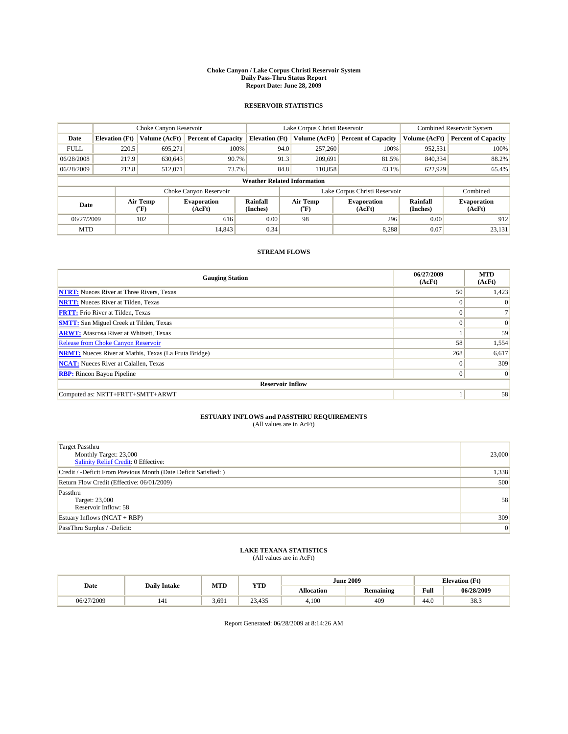#### **Choke Canyon / Lake Corpus Christi Reservoir System Daily Pass-Thru Status Report Report Date: June 28, 2009**

#### **RESERVOIR STATISTICS**

|             | Choke Canyon Reservoir             |                                           |                              |                             | Lake Corpus Christi Reservoir | <b>Combined Reservoir System</b> |                      |                              |  |
|-------------|------------------------------------|-------------------------------------------|------------------------------|-----------------------------|-------------------------------|----------------------------------|----------------------|------------------------------|--|
| Date        | <b>Elevation</b> (Ft)              | Volume (AcFt)                             | <b>Percent of Capacity</b>   | <b>Elevation</b> (Ft)       | Volume (AcFt)                 | <b>Percent of Capacity</b>       | Volume (AcFt)        | <b>Percent of Capacity</b>   |  |
| <b>FULL</b> | 220.5                              | 695,271                                   | 100%                         |                             | 94.0<br>257,260               | 100%                             | 952,531              | 100%                         |  |
| 06/28/2008  | 217.9                              | 630,643                                   | 90.7%                        |                             | 91.3<br>209,691               | 81.5%                            | 840,334              | 88.2%                        |  |
| 06/28/2009  | 212.8                              | 512,071                                   | 73.7%                        |                             | 84.8<br>110,858               | 43.1%                            | 622,929              | 65.4%                        |  |
|             | <b>Weather Related Information</b> |                                           |                              |                             |                               |                                  |                      |                              |  |
|             |                                    |                                           | Choke Canyon Reservoir       |                             |                               | Lake Corpus Christi Reservoir    |                      | Combined                     |  |
| Date        |                                    | Air Temp<br>$({}^{\mathrm{o}}\mathrm{F})$ | <b>Evaporation</b><br>(AcFt) | <b>Rainfall</b><br>(Inches) | Air Temp<br>(°F)              | <b>Evaporation</b><br>(AcFt)     | Rainfall<br>(Inches) | <b>Evaporation</b><br>(AcFt) |  |
| 06/27/2009  |                                    | 102                                       | 616                          | 0.00                        | 98                            | 296                              | 0.00                 | 912                          |  |
| <b>MTD</b>  |                                    |                                           | 14,843                       | 0.34                        |                               | 8.288                            | 0.07                 | 23,131                       |  |

### **STREAM FLOWS**

| <b>Gauging Station</b>                                       | 06/27/2009<br>(AcFt) | <b>MTD</b><br>(AcFt) |  |  |  |  |  |
|--------------------------------------------------------------|----------------------|----------------------|--|--|--|--|--|
| <b>NTRT:</b> Nueces River at Three Rivers, Texas             | 50                   | 1,423                |  |  |  |  |  |
| <b>NRTT:</b> Nueces River at Tilden, Texas                   | $\Omega$             | $\Omega$             |  |  |  |  |  |
| <b>FRTT:</b> Frio River at Tilden, Texas                     | $\Omega$             |                      |  |  |  |  |  |
| <b>SMTT:</b> San Miguel Creek at Tilden, Texas               | $\theta$             | $\Omega$             |  |  |  |  |  |
| <b>ARWT:</b> Atascosa River at Whitsett, Texas               |                      | 59                   |  |  |  |  |  |
| <b>Release from Choke Canyon Reservoir</b>                   | 58                   | 1,554                |  |  |  |  |  |
| <b>NRMT:</b> Nueces River at Mathis, Texas (La Fruta Bridge) | 268                  | 6,617                |  |  |  |  |  |
| <b>NCAT:</b> Nueces River at Calallen, Texas                 | $\theta$             | 309                  |  |  |  |  |  |
| <b>RBP:</b> Rincon Bayou Pipeline                            | $\mathbf{0}$         | $\vert$ 0            |  |  |  |  |  |
| <b>Reservoir Inflow</b>                                      |                      |                      |  |  |  |  |  |
| Computed as: NRTT+FRTT+SMTT+ARWT                             |                      | 58                   |  |  |  |  |  |

# **ESTUARY INFLOWS and PASSTHRU REQUIREMENTS**<br>(All values are in AcFt)

| Target Passthru<br>Monthly Target: 23,000<br>Salinity Relief Credit: 0 Effective: | 23,000 |
|-----------------------------------------------------------------------------------|--------|
| Credit / -Deficit From Previous Month (Date Deficit Satisfied: )                  | 1,338  |
| Return Flow Credit (Effective: 06/01/2009)                                        | 500    |
| Passthru<br>Target: 23,000<br>Reservoir Inflow: 58                                | 58     |
| Estuary Inflows $(NCAT + RBP)$                                                    | 309    |
| PassThru Surplus / -Deficit:                                                      | 0      |

# **LAKE TEXANA STATISTICS** (All values are in AcFt)

|            | <b>Daily Intake</b> | MTD   | <b>YTD</b>       |                   | <b>June 2009</b> | <b>Elevation</b> (Ft)                       |            |
|------------|---------------------|-------|------------------|-------------------|------------------|---------------------------------------------|------------|
| Date       |                     |       |                  | <b>Allocation</b> | <b>Remaining</b> | Full<br>the contract of the contract of the | 06/28/2009 |
| 06/27/2009 | 141                 | 3.691 | 23.435<br>ر رہے۔ | 4.100             | 409              | 44.0                                        | 38.3       |

Report Generated: 06/28/2009 at 8:14:26 AM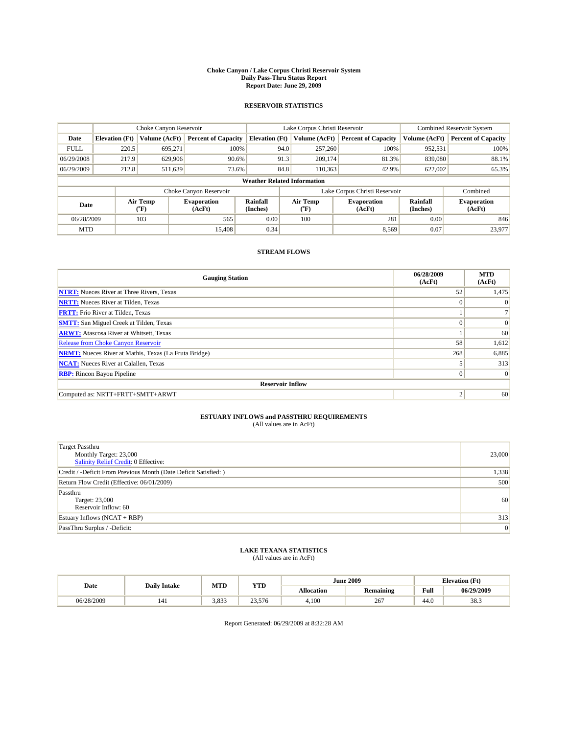#### **Choke Canyon / Lake Corpus Christi Reservoir System Daily Pass-Thru Status Report Report Date: June 29, 2009**

#### **RESERVOIR STATISTICS**

|             | Choke Canyon Reservoir             |                  |                              |                       | Lake Corpus Christi Reservoir | <b>Combined Reservoir System</b> |                      |                              |  |
|-------------|------------------------------------|------------------|------------------------------|-----------------------|-------------------------------|----------------------------------|----------------------|------------------------------|--|
| Date        | <b>Elevation</b> (Ft)              | Volume (AcFt)    | <b>Percent of Capacity</b>   | <b>Elevation</b> (Ft) | Volume (AcFt)                 | <b>Percent of Capacity</b>       | Volume (AcFt)        | <b>Percent of Capacity</b>   |  |
| <b>FULL</b> | 220.5                              | 695,271          | 100%                         | 94.0                  | 257,260                       | 100%                             | 952,531              | 100%                         |  |
| 06/29/2008  | 217.9                              | 629,906          | 90.6%                        | 91.3                  | 209,174                       | 81.3%                            | 839,080              | 88.1%                        |  |
| 06/29/2009  | 212.8                              | 511,639          | 73.6%                        | 84.8                  | 110,363                       | 42.9%                            | 622,002              | 65.3%                        |  |
|             | <b>Weather Related Information</b> |                  |                              |                       |                               |                                  |                      |                              |  |
|             |                                    |                  | Choke Canyon Reservoir       |                       |                               | Lake Corpus Christi Reservoir    |                      | Combined                     |  |
| Date        |                                    | Air Temp<br>(°F) | <b>Evaporation</b><br>(AcFt) | Rainfall<br>(Inches)  | Air Temp<br>("F)              | <b>Evaporation</b><br>(AcFt)     | Rainfall<br>(Inches) | <b>Evaporation</b><br>(AcFt) |  |
| 06/28/2009  |                                    | 103              | 565                          | 0.00                  | 100                           | 281                              | 0.00                 | 846                          |  |
| <b>MTD</b>  |                                    |                  | 15,408                       | 0.34                  |                               | 8,569                            | 0.07                 | 23.977                       |  |

### **STREAM FLOWS**

| <b>Gauging Station</b>                                       | 06/28/2009<br>(AcFt) | <b>MTD</b><br>(AcFt) |  |  |  |  |  |
|--------------------------------------------------------------|----------------------|----------------------|--|--|--|--|--|
| <b>NTRT:</b> Nueces River at Three Rivers, Texas             | 52                   | 1,475                |  |  |  |  |  |
| <b>NRTT:</b> Nueces River at Tilden, Texas                   | $\Omega$             | $\Omega$             |  |  |  |  |  |
| <b>FRTT:</b> Frio River at Tilden, Texas                     |                      |                      |  |  |  |  |  |
| <b>SMTT:</b> San Miguel Creek at Tilden, Texas               | $\theta$             | $\vert 0 \vert$      |  |  |  |  |  |
| <b>ARWT:</b> Atascosa River at Whitsett, Texas               |                      | 60                   |  |  |  |  |  |
| Release from Choke Canyon Reservoir                          | 58                   | 1,612                |  |  |  |  |  |
| <b>NRMT:</b> Nueces River at Mathis, Texas (La Fruta Bridge) | 268                  | 6,885                |  |  |  |  |  |
| <b>NCAT:</b> Nueces River at Calallen, Texas                 |                      | 313                  |  |  |  |  |  |
| <b>RBP:</b> Rincon Bayou Pipeline                            | $\mathbf{0}$         | $\vert$ 0            |  |  |  |  |  |
| <b>Reservoir Inflow</b>                                      |                      |                      |  |  |  |  |  |
| Computed as: NRTT+FRTT+SMTT+ARWT                             | $\overline{c}$       | 60                   |  |  |  |  |  |

# **ESTUARY INFLOWS and PASSTHRU REQUIREMENTS**<br>(All values are in AcFt)

| <b>Target Passthru</b><br>Monthly Target: 23,000<br>Salinity Relief Credit: 0 Effective: | 23,000 |
|------------------------------------------------------------------------------------------|--------|
| Credit / -Deficit From Previous Month (Date Deficit Satisfied: )                         | 1,338  |
| Return Flow Credit (Effective: 06/01/2009)                                               | 500    |
| Passthru<br>Target: 23,000<br>Reservoir Inflow: 60                                       | 60     |
| Estuary Inflows $(NCAT + RBP)$                                                           | 313    |
| PassThru Surplus / -Deficit:                                                             | 0      |

## **LAKE TEXANA STATISTICS** (All values are in AcFt)

| Date       | <b>Daily Intake</b> | MTD   | <b>YTD</b>         |                   | <b>June 2009</b> | <b>Elevation</b> (Ft) |            |
|------------|---------------------|-------|--------------------|-------------------|------------------|-----------------------|------------|
|            |                     |       |                    | <b>Allocation</b> | <b>Remaining</b> | Full                  | 06/29/2009 |
| 06/28/2009 | 141                 | 3,833 | $\gamma$<br>23,576 | 4.100             | 267              | 44.0                  | 38.3       |

Report Generated: 06/29/2009 at 8:32:28 AM